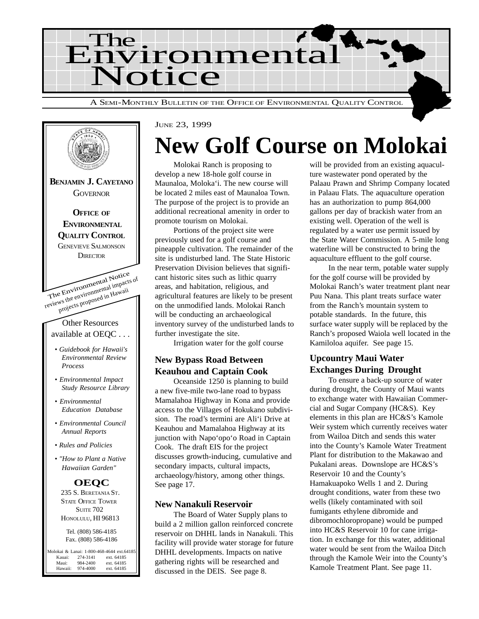

The Environmental Notice reviews the environmental impacts of projects proposed in Hawaii Other Resources available at OEQC . . . *• Guidebook for Hawaii's Environmental Review Process • Environmental Impact Study Resource Library • Environmental Education Database • Environmental Council Annual Reports • Rules and Policies • "How to Plant a Native Hawaiian Garden"* **BENJAMIN J. CAYETANO GOVERNOR OFFICE OF ENVIRONMENTAL QUALITY CONTROL** GENEVIEVE SALMONSON **DIRECTOR OEQC** 235 S. BERETANIA ST. STATE OFFICE TOWER **SUITE 702** HONOLULU, HI 96813 Tel. (808) 586-4185 Fax. (808) 586-4186 Molokai & Lanai: 1-800-468-4644 ext.64185<br>Kauai: 274-3141 ext.64185 Kauai: 274-3141 ext. 64185<br>Maui: 984-2400 ext. 64185 Maui: 984-2400 ext. 64185<br>Hawaii: 974-4000 ext. 64185 ext. 64185

#### JUNE 23, 1999

## **New Golf Course on Molokai**

Molokai Ranch is proposing to develop a new 18-hole golf course in Maunaloa, Moloka'i. The new course will be located 2 miles east of Maunaloa Town. The purpose of the project is to provide an additional recreational amenity in order to promote tourism on Molokai.

Portions of the project site were previously used for a golf course and pineapple cultivation. The remainder of the site is undisturbed land. The State Historic Preservation Division believes that significant historic sites such as lithic quarry areas, and habitation, religious, and agricultural features are likely to be present on the unmodified lands. Molokai Ranch will be conducting an archaeological inventory survey of the undisturbed lands to further investigate the site.

Irrigation water for the golf course

#### **New Bypass Road Between Keauhou and Captain Cook**

Oceanside 1250 is planning to build a new five-mile two-lane road to bypass Mamalahoa Highway in Kona and provide access to the Villages of Hokukano subdivision. The road's termini are Ali'i Drive at Keauhou and Mamalahoa Highway at its junction with Napo'opo'o Road in Captain Cook. The draft EIS for the project discusses growth-inducing, cumulative and secondary impacts, cultural impacts, archaeology/history, among other things. See page 17.

#### **New Nanakuli Reservoir**

The Board of Water Supply plans to build a 2 million gallon reinforced concrete reservoir on DHHL lands in Nanakuli. This facility will provide water storage for future DHHL developments. Impacts on native gathering rights will be researched and discussed in the DEIS. See page 8.

will be provided from an existing aquaculture wastewater pond operated by the Palaau Prawn and Shrimp Company located in Palaau Flats. The aquaculture operation has an authorization to pump 864,000 gallons per day of brackish water from an existing well. Operation of the well is regulated by a water use permit issued by the State Water Commission. A 5-mile long waterline will be constructed to bring the aquaculture effluent to the golf course.

In the near term, potable water supply for the golf course will be provided by Molokai Ranch's water treatment plant near Puu Nana. This plant treats surface water from the Ranch's mountain system to potable standards. In the future, this surface water supply will be replaced by the Ranch's proposed Waiola well located in the Kamiloloa aquifer. See page 15.

#### **Upcountry Maui Water Exchanges During Drought**

To ensure a back-up source of water during drought, the County of Maui wants to exchange water with Hawaiian Commercial and Sugar Company (HC&S). Key elements in this plan are HC&S's Kamole Weir system which currently receives water from Wailoa Ditch and sends this water into the County's Kamole Water Treatment Plant for distribution to the Makawao and Pukalani areas. Downslope are HC&S's Reservoir 10 and the County's Hamakuapoko Wells 1 and 2. During drought conditions, water from these two wells (likely contaminated with soil fumigants ethylene dibromide and dibromochloropropane) would be pumped into HC&S Reservoir 10 for cane irrigation. In exchange for this water, additional water would be sent from the Wailoa Ditch through the Kamole Weir into the County's Kamole Treatment Plant. See page 11.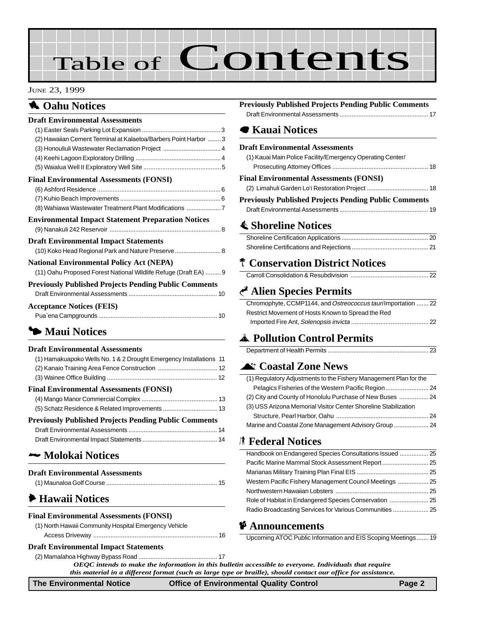# Table of Contents

#### JUNE 23, 1999

#### 1 **Oahu Notices**

| <b>Draft Environmental Assessments</b>                           |  |
|------------------------------------------------------------------|--|
|                                                                  |  |
| (2) Hawaiian Cement Terminal at Kalaeloa/Barbers Point Harbor  3 |  |
| (3) Honouliuli Wastewater Reclamation Project  4                 |  |
|                                                                  |  |
|                                                                  |  |
| <b>Final Environmental Assessments (FONSI)</b>                   |  |
|                                                                  |  |
|                                                                  |  |
| (8) Wahiawa Wastewater Treatment Plant Modifications 7           |  |
| <b>Environmental Impact Statement Preparation Notices</b>        |  |
|                                                                  |  |
| <b>Draft Environmental Impact Statements</b>                     |  |
| (10) Koko Head Regional Park and Nature Preserve 8               |  |
| <b>National Environmental Policy Act (NEPA)</b>                  |  |
| (11) Oahu Proposed Forest National Wildlife Refuge (Draft EA)  9 |  |
| <b>Previously Published Projects Pending Public Comments</b>     |  |
|                                                                  |  |
| <b>Acceptance Notices (FEIS)</b>                                 |  |

#### 3 **[Maui Notices](#page-10-0)**

#### **Draft Environmental Assessments**

| (1) Hamakuapoko Wells No. 1 & 2 Drought Emergency Installations 11 |  |
|--------------------------------------------------------------------|--|
|                                                                    |  |
|                                                                    |  |
| <b>Final Environmental Assessments (FONSI)</b>                     |  |
|                                                                    |  |
|                                                                    |  |
| <b>Previously Published Projects Pending Public Comments</b>       |  |
|                                                                    |  |
|                                                                    |  |

Pua`ena Campgrounds ..................................................................... 10

#### 2 **Molokai Notices**

| <b>Draft Environmental Assessments</b> |  |
|----------------------------------------|--|
|                                        |  |

#### 6 **[Hawaii Notices](#page-15-0)**

#### **Final Environmental Assessments (FONSI)**

| (1) North Hawaii Community Hospital Emergency Vehicle |  |
|-------------------------------------------------------|--|
|                                                       |  |

#### **Draft Environmental Impact Statements**

#### **Previously Published Projects Pending Public Comments**

#### 7 **Kauai Notices**

#### **Draft Environmental Assessments**

| <b>Previously Published Projects Pending Public Comments</b> |  |
|--------------------------------------------------------------|--|
|                                                              |  |
| Final Environmental Assessments (FONSI)                      |  |
|                                                              |  |
| (1) Kauai Main Police Facility/Emergency Operating Center/   |  |

| i reviously a uniisheu a rojects a enumg a uniit Comments |  |
|-----------------------------------------------------------|--|
|                                                           |  |

#### s **[Shoreline Notices](#page-19-0)**

#### p **[Conservation District Notices](#page-21-0)**

#### G **Alien Species Permits**

| Chromophyte, CCMP1144, and Ostreococcus taurilmportation  22 |
|--------------------------------------------------------------|
| Restrict Movement of Hosts Known to Spread the Red           |
|                                                              |

#### V **Pollution Control Permits**

|--|

#### ^ **Coastal Zone News**

| (1) Regulatory Adjustments to the Fishery Management Plan for the |  |
|-------------------------------------------------------------------|--|
|                                                                   |  |
|                                                                   |  |
| (3) USS Arizona Memorial Visitor Center Shoreline Stabilization   |  |
|                                                                   |  |
| Marine and Coastal Zone Management Advisory Group  24             |  |

#### S **Federal Notices**

| Handbook on Endangered Species Consultations Issued  25 |  |
|---------------------------------------------------------|--|
|                                                         |  |
|                                                         |  |
| Western Pacific Fishery Management Council Meetings  25 |  |
|                                                         |  |
|                                                         |  |
| Radio Broadcasting Services for Various Communities  25 |  |
|                                                         |  |

#### C **Announcements**

Upcoming ATOC Public Information and EIS Scoping Meetings....... 19

*OEQC intends to make the information in this bulletin accessible to everyone. Individuals that require this material in a different format (such as large type or braille), should contact our office for assistance.* [\(2\) Mamalahoa Highway Bypass Road](#page-16-0) .............................................. 17

#### **The Environmental Notice Office of Environmental Quality Control Page 2**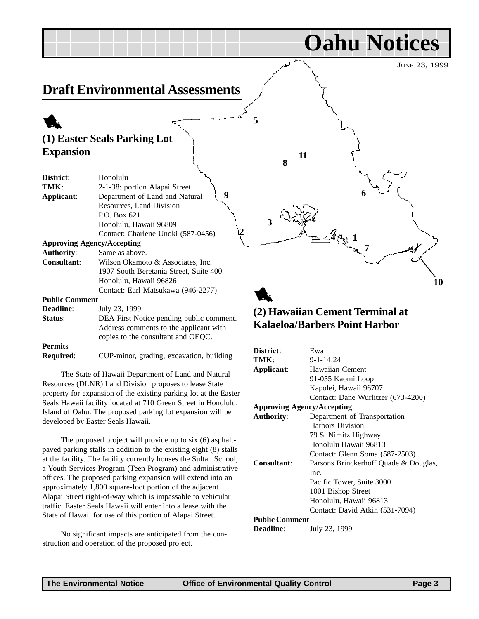JUNE 23, 1999

**10**

**Oahu Notices**

**7**

**6**

#### <span id="page-2-0"></span>**Draft Environmental Assessments**

#### 1 **(1) Easter Seals Parking Lot Expansion**

| District:                         | Honolulu                                 |
|-----------------------------------|------------------------------------------|
| TMK:                              | 2-1-38: portion Alapai Street            |
| Applicant:                        | 9<br>Department of Land and Natural      |
|                                   | Resources, Land Division                 |
|                                   | P.O. Box 621                             |
|                                   | Honolulu, Hawaii 96809                   |
|                                   | Contact: Charlene Unoki (587-0456)       |
| <b>Approving Agency/Accepting</b> |                                          |
| <b>Authority:</b>                 | Same as above.                           |
| <b>Consultant:</b>                | Wilson Okamoto & Associates, Inc.        |
|                                   | 1907 South Beretania Street, Suite 400   |
|                                   | Honolulu, Hawaii 96826                   |
|                                   | Contact: Earl Matsukawa (946-2277)       |
| <b>Public Comment</b>             |                                          |
| <b>Deadline:</b>                  | July 23, 1999                            |
| Status:                           | DEA First Notice pending public comment. |
|                                   | Address comments to the applicant with   |
|                                   | copies to the consultant and OEQC.       |

#### **Permits**

**Required**: CUP-minor, grading, excavation, building

The State of Hawaii Department of Land and Natural Resources (DLNR) Land Division proposes to lease State property for expansion of the existing parking lot at the Easter Seals Hawaii facility located at 710 Green Street in Honolulu, Island of Oahu. The proposed parking lot expansion will be developed by Easter Seals Hawaii.

The proposed project will provide up to six (6) asphaltpaved parking stalls in addition to the existing eight (8) stalls at the facility. The facility currently houses the Sultan School, a Youth Services Program (Teen Program) and administrative offices. The proposed parking expansion will extend into an approximately 1,800 square-foot portion of the adjacent Alapai Street right-of-way which is impassable to vehicular traffic. Easter Seals Hawaii will enter into a lease with the State of Hawaii for use of this portion of Alapai Street.

No significant impacts are anticipated from the construction and operation of the proposed project.

#### 1 **(2) Hawaiian Cement Terminal at Kalaeloa/Barbers Point Harbor**

**4**

**3**

**8**

**11**

 $2 - 4 - 1$ 

**5**

| District:                         | Ewa                                   |
|-----------------------------------|---------------------------------------|
| TMK:                              | $9 - 1 - 14:24$                       |
| Applicant:                        | Hawaiian Cement                       |
|                                   | 91-055 Kaomi Loop                     |
|                                   | Kapolei, Hawaii 96707                 |
|                                   | Contact: Dane Wurlitzer (673-4200)    |
| <b>Approving Agency/Accepting</b> |                                       |
| <b>Authority:</b>                 | Department of Transportation          |
|                                   | <b>Harbors Division</b>               |
|                                   | 79 S. Nimitz Highway                  |
|                                   | Honolulu Hawaii 96813                 |
|                                   | Contact: Glenn Soma (587-2503)        |
| Consultant:                       | Parsons Brinckerhoff Quade & Douglas, |
|                                   | Inc.                                  |
|                                   | Pacific Tower, Suite 3000             |
|                                   | 1001 Bishop Street                    |
|                                   | Honolulu, Hawaii 96813                |
|                                   | Contact: David Atkin (531-7094)       |
| <b>Public Comment</b>             |                                       |
| <b>Deadline:</b>                  | July 23, 1999                         |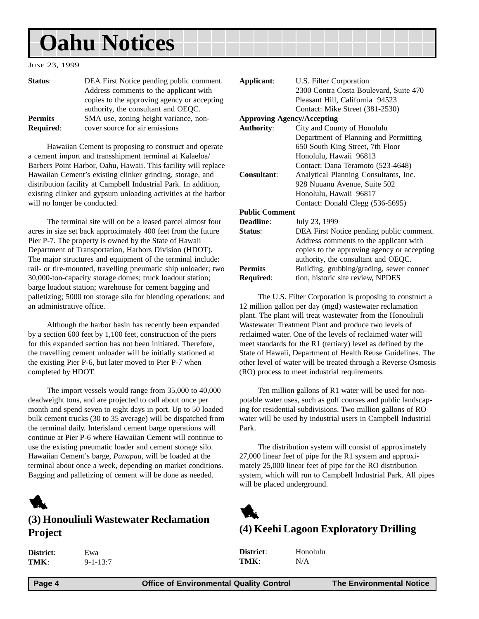## <span id="page-3-0"></span>**Oahu Notices**

#### JUNE 23, 1999

| Status:          | DEA First Notice pending public comment.<br>Address comments to the applicant with |
|------------------|------------------------------------------------------------------------------------|
|                  | copies to the approving agency or accepting                                        |
|                  | authority, the consultant and OEQC.                                                |
| <b>Permits</b>   | SMA use, zoning height variance, non-                                              |
| <b>Required:</b> | cover source for air emissions                                                     |

Hawaiian Cement is proposing to construct and operate a cement import and transshipment terminal at Kalaeloa/ Barbers Point Harbor, Oahu, Hawaii. This facility will replace Hawaiian Cement's existing clinker grinding, storage, and distribution facility at Campbell Industrial Park. In addition, existing clinker and gypsum unloading activities at the harbor will no longer be conducted.

The terminal site will on be a leased parcel almost four acres in size set back approximately 400 feet from the future Pier P-7. The property is owned by the State of Hawaii Department of Transportation, Harbors Division (HDOT). The major structures and equipment of the terminal include: rail- or tire-mounted, travelling pneumatic ship unloader; two 30,000-ton-capacity storage domes; truck loadout station; barge loadout station; warehouse for cement bagging and palletizing; 5000 ton storage silo for blending operations; and an administrative office.

Although the harbor basin has recently been expanded by a section 600 feet by 1,100 feet, construction of the piers for this expanded section has not been initiated. Therefore, the travelling cement unloader will be initially stationed at the existing Pier P-6, but later moved to Pier P-7 when completed by HDOT.

The import vessels would range from 35,000 to 40,000 deadweight tons, and are projected to call about once per month and spend seven to eight days in port. Up to 50 loaded bulk cement trucks (30 to 35 average) will be dispatched from the terminal daily. Interisland cement barge operations will continue at Pier P-6 where Hawaiian Cement will continue to use the existing pneumatic loader and cement storage silo. Hawaiian Cement's barge, *Punapau*, will be loaded at the terminal about once a week, depending on market conditions. Bagging and palletizing of cement will be done as needed.

### 1

#### **(3) Honouliuli Wastewater Reclamation Project**

| <b>District</b> : | Ewa            |
|-------------------|----------------|
| TMK:              | $9 - 1 - 13:7$ |

| Applicant:                        | U.S. Filter Corporation                     |
|-----------------------------------|---------------------------------------------|
|                                   | 2300 Contra Costa Boulevard, Suite 470      |
|                                   | Pleasant Hill, California 94523             |
|                                   | Contact: Mike Street (381-2530)             |
| <b>Approving Agency/Accepting</b> |                                             |
| <b>Authority:</b>                 | City and County of Honolulu                 |
|                                   | Department of Planning and Permitting       |
|                                   | 650 South King Street, 7th Floor            |
|                                   | Honolulu, Hawaii 96813                      |
|                                   | Contact: Dana Teramoto (523-4648)           |
| <b>Consultant:</b>                | Analytical Planning Consultants, Inc.       |
|                                   | 928 Nuuanu Avenue, Suite 502                |
|                                   | Honolulu, Hawaii 96817                      |
|                                   | Contact: Donald Clegg (536-5695)            |
| <b>Public Comment</b>             |                                             |
| <b>Deadline:</b>                  | July 23, 1999                               |
| Status:                           | DEA First Notice pending public comment.    |
|                                   | Address comments to the applicant with      |
|                                   | copies to the approving agency or accepting |
|                                   | authority, the consultant and OEQC.         |
| <b>Permits</b>                    | Building, grubbing/grading, sewer connec    |
| Required:                         | tion, historic site review, NPDES           |
|                                   |                                             |

The U.S. Filter Corporation is proposing to construct a 12 million gallon per day (mgd) wastewater reclamation plant. The plant will treat wastewater from the Honouliuli Wastewater Treatment Plant and produce two levels of reclaimed water. One of the levels of reclaimed water will meet standards for the R1 (tertiary) level as defined by the State of Hawaii, Department of Health Reuse Guidelines. The other level of water will be treated through a Reverse Osmosis (RO) process to meet industrial requirements.

Ten million gallons of R1 water will be used for nonpotable water uses, such as golf courses and public landscaping for residential subdivisions. Two million gallons of RO water will be used by industrial users in Campbell Industrial Park.

The distribution system will consist of approximately 27,000 linear feet of pipe for the R1 system and approximately 25,000 linear feet of pipe for the RO distribution system, which will run to Campbell Industrial Park. All pipes will be placed underground.



#### **(4) Keehi Lagoon Exploratory Drilling**

| District: | Hono |
|-----------|------|
| TMK:      | N/A  |

**District**: Honolulu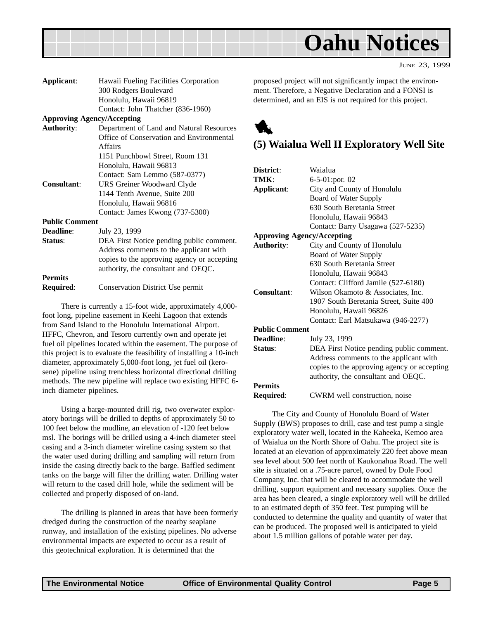<span id="page-4-0"></span>

JUNE 23, 1999

| Applicant:                        | Hawaii Fueling Facilities Corporation       |
|-----------------------------------|---------------------------------------------|
|                                   | 300 Rodgers Boulevard                       |
|                                   | Honolulu, Hawaii 96819                      |
|                                   | Contact: John Thatcher (836-1960)           |
| <b>Approving Agency/Accepting</b> |                                             |
| <b>Authority:</b>                 | Department of Land and Natural Resources    |
|                                   | Office of Conservation and Environmental    |
|                                   | Affairs                                     |
|                                   | 1151 Punchbowl Street, Room 131             |
|                                   | Honolulu, Hawaii 96813                      |
|                                   | Contact: Sam Lemmo (587-0377)               |
| <b>Consultant:</b>                | URS Greiner Woodward Clyde                  |
|                                   | 1144 Tenth Avenue, Suite 200                |
|                                   | Honolulu, Hawaii 96816                      |
|                                   | Contact: James Kwong (737-5300)             |
| <b>Public Comment</b>             |                                             |
| <b>Deadline:</b>                  | July 23, 1999                               |
| Status:                           | DEA First Notice pending public comment.    |
|                                   | Address comments to the applicant with      |
|                                   | copies to the approving agency or accepting |
|                                   | authority, the consultant and OEQC.         |
| <b>Permits</b>                    |                                             |
| Required:                         | <b>Conservation District Use permit</b>     |
|                                   |                                             |

There is currently a 15-foot wide, approximately 4,000 foot long, pipeline easement in Keehi Lagoon that extends from Sand Island to the Honolulu International Airport. HFFC, Chevron, and Tesoro currently own and operate jet fuel oil pipelines located within the easement. The purpose of this project is to evaluate the feasibility of installing a 10-inch diameter, approximately 5,000-foot long, jet fuel oil (kerosene) pipeline using trenchless horizontal directional drilling methods. The new pipeline will replace two existing HFFC 6 inch diameter pipelines.

Using a barge-mounted drill rig, two overwater exploratory borings will be drilled to depths of approximately 50 to 100 feet below the mudline, an elevation of -120 feet below msl. The borings will be drilled using a 4-inch diameter steel casing and a 3-inch diameter wireline casing system so that the water used during drilling and sampling will return from inside the casing directly back to the barge. Baffled sediment tanks on the barge will filter the drilling water. Drilling water will return to the cased drill hole, while the sediment will be collected and properly disposed of on-land.

The drilling is planned in areas that have been formerly dredged during the construction of the nearby seaplane runway, and installation of the existing pipelines. No adverse environmental impacts are expected to occur as a result of this geotechnical exploration. It is determined that the

proposed project will not significantly impact the environment. Therefore, a Negative Declaration and a FONSI is determined, and an EIS is not required for this project.



#### **(5) Waialua Well II Exploratory Well Site**

| Waialua                                     |
|---------------------------------------------|
|                                             |
| 6-5-01:por. 02                              |
| City and County of Honolulu                 |
| Board of Water Supply                       |
| 630 South Beretania Street                  |
| Honolulu, Hawaii 96843                      |
| Contact: Barry Usagawa (527-5235)           |
| <b>Approving Agency/Accepting</b>           |
| City and County of Honolulu                 |
| Board of Water Supply                       |
| 630 South Beretania Street                  |
| Honolulu, Hawaii 96843                      |
| Contact: Clifford Jamile (527-6180)         |
| Wilson Okamoto & Associates, Inc.           |
| 1907 South Beretania Street, Suite 400      |
| Honolulu, Hawaii 96826                      |
| Contact: Earl Matsukawa (946-2277)          |
| <b>Public Comment</b>                       |
| July 23, 1999                               |
| DEA First Notice pending public comment.    |
| Address comments to the applicant with      |
| copies to the approving agency or accepting |
| authority, the consultant and OEQC.         |
|                                             |
| CWRM well construction, noise               |
|                                             |

The City and County of Honolulu Board of Water Supply (BWS) proposes to drill, case and test pump a single exploratory water well, located in the Kaheeka, Kemoo area of Waialua on the North Shore of Oahu. The project site is located at an elevation of approximately 220 feet above mean sea level about 500 feet north of Kaukonahua Road. The well site is situated on a .75-acre parcel, owned by Dole Food Company, Inc. that will be cleared to accommodate the well drilling, support equipment and necessary supplies. Once the area has been cleared, a single exploratory well will be drilled to an estimated depth of 350 feet. Test pumping will be conducted to determine the quality and quantity of water that can be produced. The proposed well is anticipated to yield about 1.5 million gallons of potable water per day.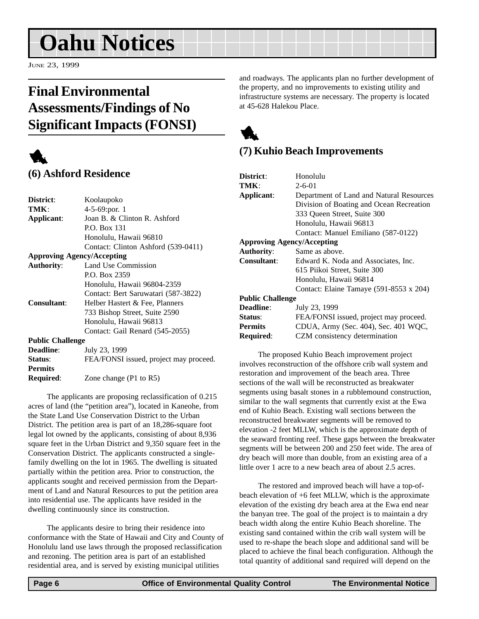# <span id="page-5-0"></span>**Oahu Notices**

JUNE 23, 1999

#### **Final Environmental Assessments/Findings of No Significant Impacts (FONSI)**

#### 1 **(6) Ashford Residence**

| District:                         | Koolaupoko                             |
|-----------------------------------|----------------------------------------|
| TMK:                              | $4-5-69$ : por. 1                      |
| Applicant:                        | Joan B. & Clinton R. Ashford           |
|                                   | P.O. Box 131                           |
|                                   | Honolulu, Hawaii 96810                 |
|                                   | Contact: Clinton Ashford (539-0411)    |
| <b>Approving Agency/Accepting</b> |                                        |
| <b>Authority:</b>                 | Land Use Commission                    |
|                                   | P.O. Box 2359                          |
|                                   | Honolulu, Hawaii 96804-2359            |
|                                   | Contact: Bert Saruwatari (587-3822)    |
| Consultant:                       | Helber Hastert & Fee, Planners         |
|                                   | 733 Bishop Street, Suite 2590          |
|                                   | Honolulu, Hawaii 96813                 |
|                                   | Contact: Gail Renard (545-2055)        |
| <b>Public Challenge</b>           |                                        |
| <b>Deadline:</b>                  | July 23, 1999                          |
| Status:                           | FEA/FONSI issued, project may proceed. |
| <b>Permits</b>                    |                                        |
| Required:                         | Zone change $(P1$ to R5)               |
|                                   |                                        |

The applicants are proposing reclassification of 0.215 acres of land (the "petition area"), located in Kaneohe, from the State Land Use Conservation District to the Urban District. The petition area is part of an 18,286-square foot legal lot owned by the applicants, consisting of about 8,936 square feet in the Urban District and 9,350 square feet in the Conservation District. The applicants constructed a singlefamily dwelling on the lot in 1965. The dwelling is situated partially within the petition area. Prior to construction, the applicants sought and received permission from the Department of Land and Natural Resources to put the petition area into residential use. The applicants have resided in the dwelling continuously since its construction.

The applicants desire to bring their residence into conformance with the State of Hawaii and City and County of Honolulu land use laws through the proposed reclassification and rezoning. The petition area is part of an established residential area, and is served by existing municipal utilities

and roadways. The applicants plan no further development of the property, and no improvements to existing utility and infrastructure systems are necessary. The property is located at 45-628 Halekou Place.



#### **(7) Kuhio Beach Improvements**

| District:                         | Honolulu                                       |  |
|-----------------------------------|------------------------------------------------|--|
| TMK:                              | $2 - 6 - 01$                                   |  |
| Applicant:                        | Department of Land and Natural Resources       |  |
|                                   | Division of Boating and Ocean Recreation       |  |
|                                   | 333 Oueen Street, Suite 300                    |  |
|                                   | Honolulu, Hawaii 96813                         |  |
|                                   | Contact: Manuel Emiliano (587-0122)            |  |
| <b>Approving Agency/Accepting</b> |                                                |  |
| <b>Authority:</b>                 | Same as above.                                 |  |
| Consultant:                       | Edward K. Noda and Associates, Inc.            |  |
|                                   | 615 Piikoi Street, Suite 300                   |  |
|                                   | Honolulu, Hawaii 96814                         |  |
|                                   | Contact: Elaine Tamaye $(591-8553 \times 204)$ |  |
| <b>Public Challenge</b>           |                                                |  |
| Deadline:                         | July 23, 1999                                  |  |
| Status:                           | FEA/FONSI issued, project may proceed.         |  |
| <b>Permits</b>                    | CDUA, Army (Sec. 404), Sec. 401 WQC,           |  |
| Required:                         | CZM consistency determination                  |  |
|                                   |                                                |  |

The proposed Kuhio Beach improvement project involves reconstruction of the offshore crib wall system and restoration and improvement of the beach area. Three sections of the wall will be reconstructed as breakwater segments using basalt stones in a rubblemound construction, similar to the wall segments that currently exist at the Ewa end of Kuhio Beach. Existing wall sections between the reconstructed breakwater segments will be removed to elevation -2 feet MLLW, which is the approximate depth of the seaward fronting reef. These gaps between the breakwater segments will be between 200 and 250 feet wide. The area of dry beach will more than double, from an existing area of a little over 1 acre to a new beach area of about 2.5 acres.

The restored and improved beach will have a top-ofbeach elevation of +6 feet MLLW, which is the approximate elevation of the existing dry beach area at the Ewa end near the banyan tree. The goal of the project is to maintain a dry beach width along the entire Kuhio Beach shoreline. The existing sand contained within the crib wall system will be used to re-shape the beach slope and additional sand will be placed to achieve the final beach configuration. Although the total quantity of additional sand required will depend on the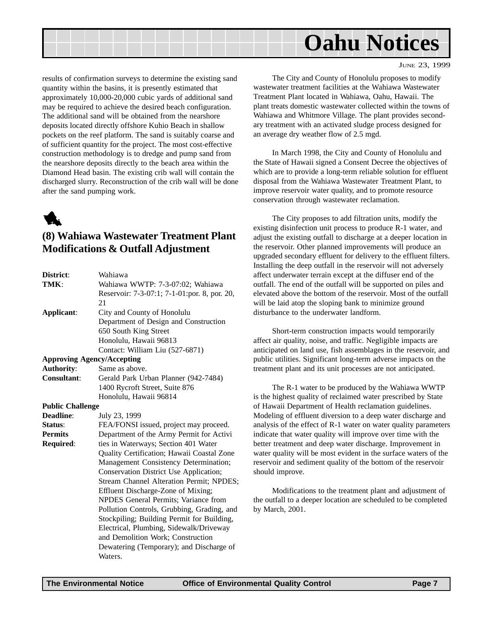<span id="page-6-0"></span>

JUNE 23, 1999

results of confirmation surveys to determine the existing sand quantity within the basins, it is presently estimated that approximately 10,000-20,000 cubic yards of additional sand may be required to achieve the desired beach configuration. The additional sand will be obtained from the nearshore deposits located directly offshore Kuhio Beach in shallow pockets on the reef platform. The sand is suitably coarse and of sufficient quantity for the project. The most cost-effective construction methodology is to dredge and pump sand from the nearshore deposits directly to the beach area within the Diamond Head basin. The existing crib wall will contain the discharged slurry. Reconstruction of the crib wall will be done after the sand pumping work.



#### **(8) Wahiawa Wastewater Treatment Plant Modifications & Outfall Adjustment**

| District:                         | Wahiawa                                      |
|-----------------------------------|----------------------------------------------|
| TMK:                              | Wahiawa WWTP: 7-3-07:02; Wahiawa             |
|                                   | Reservoir: 7-3-07:1; 7-1-01:por. 8, por. 20, |
|                                   | 21                                           |
| Applicant:                        | City and County of Honolulu                  |
|                                   | Department of Design and Construction        |
|                                   | 650 South King Street                        |
|                                   | Honolulu, Hawaii 96813                       |
|                                   | Contact: William Liu (527-6871)              |
| <b>Approving Agency/Accepting</b> |                                              |
| <b>Authority:</b>                 | Same as above.                               |
| Consultant:                       | Gerald Park Urban Planner (942-7484)         |
|                                   | 1400 Rycroft Street, Suite 876               |
|                                   | Honolulu, Hawaii 96814                       |
| <b>Public Challenge</b>           |                                              |
| Deadline:                         | July 23, 1999                                |
| Status:                           | FEA/FONSI issued, project may proceed.       |
| <b>Permits</b>                    | Department of the Army Permit for Activi     |
| Required:                         | ties in Waterways; Section 401 Water         |
|                                   | Quality Certification; Hawaii Coastal Zone   |
|                                   | Management Consistency Determination;        |
|                                   | Conservation District Use Application;       |
|                                   | Stream Channel Alteration Permit; NPDES;     |
|                                   | Effluent Discharge-Zone of Mixing;           |
|                                   | NPDES General Permits; Variance from         |
|                                   | Pollution Controls, Grubbing, Grading, and   |
|                                   | Stockpiling; Building Permit for Building,   |
|                                   | Electrical, Plumbing, Sidewalk/Driveway      |
|                                   | and Demolition Work; Construction            |
|                                   | Dewatering (Temporary); and Discharge of     |
|                                   | Waters.                                      |

The City and County of Honolulu proposes to modify wastewater treatment facilities at the Wahiawa Wastewater Treatment Plant located in Wahiawa, Oahu, Hawaii. The plant treats domestic wastewater collected within the towns of Wahiawa and Whitmore Village. The plant provides secondary treatment with an activated sludge process designed for an average dry weather flow of 2.5 mgd.

In March 1998, the City and County of Honolulu and the State of Hawaii signed a Consent Decree the objectives of which are to provide a long-term reliable solution for effluent disposal from the Wahiawa Wastewater Treatment Plant, to improve reservoir water quality, and to promote resource conservation through wastewater reclamation.

The City proposes to add filtration units, modify the existing disinfection unit process to produce R-1 water, and adjust the existing outfall to discharge at a deeper location in the reservoir. Other planned improvements will produce an upgraded secondary effluent for delivery to the effluent filters. Installing the deep outfall in the reservoir will not adversely affect underwater terrain except at the diffuser end of the outfall. The end of the outfall will be supported on piles and elevated above the bottom of the reservoir. Most of the outfall will be laid atop the sloping bank to minimize ground disturbance to the underwater landform.

Short-term construction impacts would temporarily affect air quality, noise, and traffic. Negligible impacts are anticipated on land use, fish assemblages in the reservoir, and public utilities. Significant long-term adverse impacts on the treatment plant and its unit processes are not anticipated.

The R-1 water to be produced by the Wahiawa WWTP is the highest quality of reclaimed water prescribed by State of Hawaii Department of Health reclamation guidelines. Modeling of effluent diversion to a deep water discharge and analysis of the effect of R-1 water on water quality parameters indicate that water quality will improve over time with the better treatment and deep water discharge. Improvement in water quality will be most evident in the surface waters of the reservoir and sediment quality of the bottom of the reservoir should improve.

Modifications to the treatment plant and adjustment of the outfall to a deeper location are scheduled to be completed by March, 2001.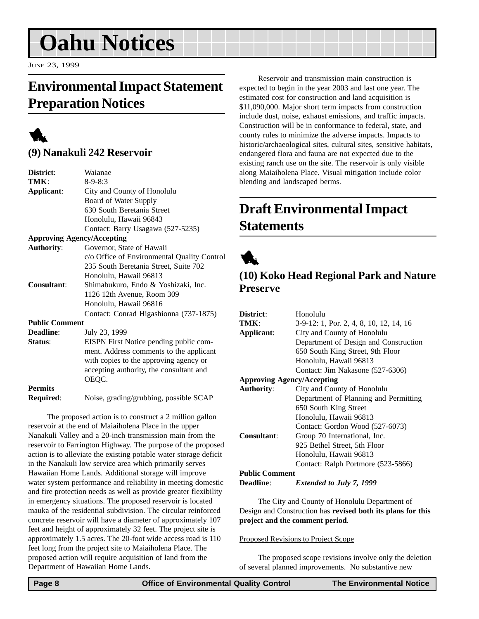# <span id="page-7-0"></span>**Oahu Notices**

JUNE 23, 1999

#### **Environmental Impact Statement Preparation Notices**



#### **(9) Nanakuli 242 Reservoir**

| District:             | Waianae                                     |
|-----------------------|---------------------------------------------|
| TMK:                  | $8 - 9 - 8:3$                               |
| Applicant:            | City and County of Honolulu                 |
|                       | Board of Water Supply                       |
|                       | 630 South Beretania Street                  |
|                       | Honolulu, Hawaii 96843                      |
|                       | Contact: Barry Usagawa (527-5235)           |
|                       | <b>Approving Agency/Accepting</b>           |
| <b>Authority:</b>     | Governor, State of Hawaii                   |
|                       | c/o Office of Environmental Quality Control |
|                       | 235 South Beretania Street, Suite 702       |
|                       | Honolulu, Hawaii 96813                      |
| Consultant:           | Shimabukuro, Endo & Yoshizaki, Inc.         |
|                       | 1126 12th Avenue, Room 309                  |
|                       | Honolulu, Hawaii 96816                      |
|                       | Contact: Conrad Higashionna (737-1875)      |
| <b>Public Comment</b> |                                             |
| Deadline:             | July 23, 1999                               |
| Status:               | EISPN First Notice pending public com-      |
|                       | ment. Address comments to the applicant     |
|                       | with copies to the approving agency or      |
|                       | accepting authority, the consultant and     |
|                       | OEQC.                                       |
| <b>Permits</b>        |                                             |
| Required:             | Noise, grading/grubbing, possible SCAP      |

The proposed action is to construct a 2 million gallon reservoir at the end of Maiaiholena Place in the upper Nanakuli Valley and a 20-inch transmission main from the reservoir to Farrington Highway. The purpose of the proposed action is to alleviate the existing potable water storage deficit in the Nanakuli low service area which primarily serves Hawaiian Home Lands. Additional storage will improve water system performance and reliability in meeting domestic and fire protection needs as well as provide greater flexibility in emergency situations. The proposed reservoir is located mauka of the residential subdivision. The circular reinforced concrete reservoir will have a diameter of approximately 107 feet and height of approximately 32 feet. The project site is approximately 1.5 acres. The 20-foot wide access road is 110 feet long from the project site to Maiaiholena Place. The proposed action will require acquisition of land from the Department of Hawaiian Home Lands.

Reservoir and transmission main construction is expected to begin in the year 2003 and last one year. The estimated cost for construction and land acquisition is \$11,090,000. Major short term impacts from construction include dust, noise, exhaust emissions, and traffic impacts. Construction will be in conformance to federal, state, and county rules to minimize the adverse impacts. Impacts to historic/archaeological sites, cultural sites, sensitive habitats, endangered flora and fauna are not expected due to the existing ranch use on the site. The reservoir is only visible along Maiaiholena Place. Visual mitigation include color blending and landscaped berms.

#### **Draft Environmental Impact Statements**



#### **(10) Koko Head Regional Park and Nature Preserve**

| District:                         | Honolulu                                |
|-----------------------------------|-----------------------------------------|
| TMK:                              | 3-9-12: 1, Por. 2, 4, 8, 10, 12, 14, 16 |
| Applicant:                        | City and County of Honolulu             |
|                                   | Department of Design and Construction   |
|                                   | 650 South King Street, 9th Floor        |
|                                   | Honolulu, Hawaii 96813                  |
|                                   | Contact: Jim Nakasone (527-6306)        |
| <b>Approving Agency/Accepting</b> |                                         |
| <b>Authority:</b>                 | City and County of Honolulu             |
|                                   | Department of Planning and Permitting   |
|                                   | 650 South King Street                   |
|                                   | Honolulu, Hawaii 96813                  |
|                                   | Contact: Gordon Wood (527-6073)         |
| <b>Consultant:</b>                | Group 70 International, Inc.            |
|                                   | 925 Bethel Street, 5th Floor            |
|                                   | Honolulu, Hawaii 96813                  |
|                                   | Contact: Ralph Portmore (523-5866)      |
| <b>Public Comment</b>             |                                         |
|                                   |                                         |

**Deadline**: *Extended to July 7, 1999*

The City and County of Honolulu Department of Design and Construction has **revised both its plans for this project and the comment period**.

#### Proposed Revisions to Project Scope

The proposed scope revisions involve only the deletion of several planned improvements. No substantive new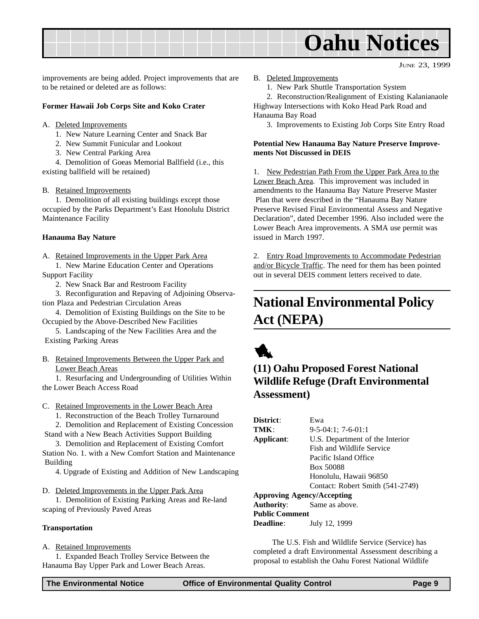<span id="page-8-0"></span>

JUNE 23, 1999

improvements are being added. Project improvements that are to be retained or deleted are as follows:

#### **Former Hawaii Job Corps Site and Koko Crater**

#### A. Deleted Improvements

- 1. New Nature Learning Center and Snack Bar
- 2. New Summit Funicular and Lookout
- 3. New Central Parking Area

4. Demolition of Goeas Memorial Ballfield (i.e., this existing ballfield will be retained)

#### B. Retained Improvements

1. Demolition of all existing buildings except those occupied by the Parks Department's East Honolulu District Maintenance Facility

#### **Hanauma Bay Nature**

A. Retained Improvements in the Upper Park Area

1. New Marine Education Center and Operations Support Facility

2. New Snack Bar and Restroom Facility

3. Reconfiguration and Repaving of Adjoining Observation Plaza and Pedestrian Circulation Areas

4. Demolition of Existing Buildings on the Site to be Occupied by the Above-Described New Facilities

5. Landscaping of the New Facilities Area and the Existing Parking Areas

B. Retained Improvements Between the Upper Park and Lower Beach Areas

1. Resurfacing and Undergrounding of Utilities Within the Lower Beach Access Road

#### C. Retained Improvements in the Lower Beach Area

1. Reconstruction of the Beach Trolley Turnaround

2. Demolition and Replacement of Existing Concession Stand with a New Beach Activities Support Building

3. Demolition and Replacement of Existing Comfort Station No. 1. with a New Comfort Station and Maintenance Building

4. Upgrade of Existing and Addition of New Landscaping

D. Deleted Improvements in the Upper Park Area

1. Demolition of Existing Parking Areas and Re-land scaping of Previously Paved Areas

#### **Transportation**

#### A. Retained Improvements

1. Expanded Beach Trolley Service Between the Hanauma Bay Upper Park and Lower Beach Areas.

B. Deleted Improvements

1. New Park Shuttle Transportation System

2. Reconstruction/Realignment of Existing Kalanianaole Highway Intersections with Koko Head Park Road and Hanauma Bay Road

3. Improvements to Existing Job Corps Site Entry Road

#### **Potential New Hanauma Bay Nature Preserve Improvements Not Discussed in DEIS**

1. New Pedestrian Path From the Upper Park Area to the Lower Beach Area. This improvement was included in amendments to the Hanauma Bay Nature Preserve Master Plan that were described in the "Hanauma Bay Nature Preserve Revised Final Environmental Assess and Negative Declaration", dated December 1996. Also included were the Lower Beach Area improvements. A SMA use permit was issued in March 1997.

2. Entry Road Improvements to Accommodate Pedestrian and/or Bicycle Traffic. The need for them has been pointed out in several DEIS comment letters received to date.

#### **National Environmental Policy Act (NEPA)**



#### **(11) Oahu Proposed Forest National Wildlife Refuge (Draft Environmental Assessment)**

| District:                         | Ewa                              |
|-----------------------------------|----------------------------------|
| TMK                               | $9-5-04:1$ ; 7-6-01:1            |
| Applicant:                        | U.S. Department of the Interior  |
|                                   | Fish and Wildlife Service        |
|                                   | Pacific Island Office            |
|                                   | Box 50088                        |
|                                   | Honolulu, Hawaii 96850           |
|                                   | Contact: Robert Smith (541-2749) |
| <b>Approving Agency/Accepting</b> |                                  |
| Authority:                        | Same as above.                   |
| <b>Public Comment</b>             |                                  |

**Deadline**: July 12, 1999

The U.S. Fish and Wildlife Service (Service) has completed a draft Environmental Assessment describing a proposal to establish the Oahu Forest National Wildlife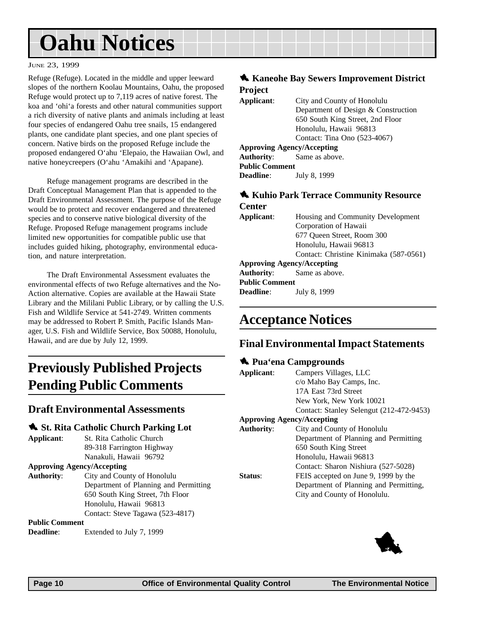# <span id="page-9-0"></span>**Oahu Notices**

#### JUNE 23, 1999

Refuge (Refuge). Located in the middle and upper leeward slopes of the northern Koolau Mountains, Oahu, the proposed Refuge would protect up to 7,119 acres of native forest. The koa and 'ohi'a forests and other natural communities support a rich diversity of native plants and animals including at least four species of endangered Oahu tree snails, 15 endangered plants, one candidate plant species, and one plant species of concern. Native birds on the proposed Refuge include the proposed endangered O'ahu 'Elepaio, the Hawaiian Owl, and native honeycreepers (O'ahu 'Amakihi and 'Apapane).

Refuge management programs are described in the Draft Conceptual Management Plan that is appended to the Draft Environmental Assessment. The purpose of the Refuge would be to protect and recover endangered and threatened species and to conserve native biological diversity of the Refuge. Proposed Refuge management programs include limited new opportunities for compatible public use that includes guided hiking, photography, environmental education, and nature interpretation.

The Draft Environmental Assessment evaluates the environmental effects of two Refuge alternatives and the No-Action alternative. Copies are available at the Hawaii State Library and the Mililani Public Library, or by calling the U.S. Fish and Wildlife Service at 541-2749. Written comments may be addressed to Robert P. Smith, Pacific Islands Manager, U.S. Fish and Wildlife Service, Box 50088, Honolulu, Hawaii, and are due by July 12, 1999.

#### **Previously Published Projects Pending Public Comments**

#### **Draft Environmental Assessments**

#### 1 **St. Rita Catholic Church Parking Lot**

**Applicant**: St. Rita Catholic Church 89-318 Farrington Highway Nanakuli, Hawaii 96792

#### **Approving Agency/Accepting**

**Authority**: City and County of Honolulu Department of Planning and Permitting 650 South King Street, 7th Floor Honolulu, Hawaii 96813 Contact: Steve Tagawa (523-4817)

#### **Public Comment**

**Deadline:** Extended to July 7, 1999

#### $\triangle$  **Kaneohe Bay Sewers Improvement District Project**

| Applicant:                        | City and County of Honolulu         |
|-----------------------------------|-------------------------------------|
|                                   | Department of Design & Construction |
|                                   | 650 South King Street, 2nd Floor    |
|                                   | Honolulu, Hawaii 96813              |
|                                   | Contact: Tina Ono (523-4067)        |
| <b>Approving Agency/Accepting</b> |                                     |
|                                   | <b>Authority:</b> Same as above.    |
| <b>Public Comment</b>             |                                     |

**Deadline**: July 8, 1999

#### 1 **Kuhio Park Terrace Community Resource Center**

| Applicant:                        | Housing and Community Development      |  |
|-----------------------------------|----------------------------------------|--|
|                                   | Corporation of Hawaii                  |  |
|                                   | 677 Oueen Street, Room 300             |  |
|                                   | Honolulu, Hawaii 96813                 |  |
|                                   | Contact: Christine Kinimaka (587-0561) |  |
| <b>Approving Agency/Accepting</b> |                                        |  |
| <b>Authority:</b>                 | Same as above.                         |  |
| <b>Public Comment</b>             |                                        |  |

**Deadline**: July 8, 1999

#### **Acceptance Notices**

#### **Final Environmental Impact Statements**

#### 1 **Pua'ena Campgrounds**

| Applicant:                        | Campers Villages, LLC                    |
|-----------------------------------|------------------------------------------|
|                                   | c/o Maho Bay Camps, Inc.                 |
|                                   | 17A East 73rd Street                     |
|                                   | New York, New York 10021                 |
|                                   | Contact: Stanley Selengut (212-472-9453) |
| <b>Approving Agency/Accepting</b> |                                          |
| <b>Authority:</b>                 | City and County of Honolulu              |
|                                   | Department of Planning and Permitting    |
|                                   | 650 South King Street                    |
|                                   | Honolulu, Hawaii 96813                   |
|                                   | Contact: Sharon Nishiura (527-5028)      |
| Status:                           | FEIS accepted on June 9, 1999 by the     |
|                                   | Department of Planning and Permitting,   |
|                                   | City and County of Honolulu.             |
|                                   |                                          |

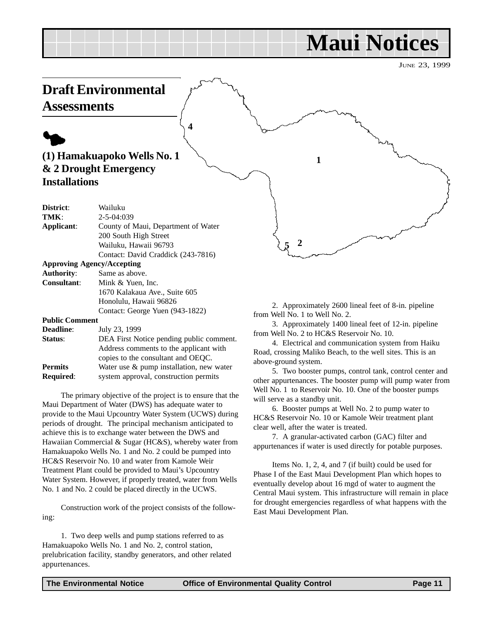## **Maui Notices**

JUNE 23, 1999

#### <span id="page-10-0"></span>**Draft Environmental Assessments**

# $\blacklozenge$

#### **(1) Hamakuapoko Wells No. 1 & 2 Drought Emergency Installations**

| District:             | Wailuku                             |
|-----------------------|-------------------------------------|
| TMK:                  | $2 - 5 - 04:039$                    |
| Applicant:            | County of Maui, Department of Water |
|                       | 200 South High Street               |
|                       | Wailuku, Hawaii 96793               |
|                       | Contact: David Craddick (243-7816)  |
|                       | <b>Approving Agency/Accepting</b>   |
| <b>Authority:</b>     | Same as above.                      |
| Consultant:           | Mink & Yuen, Inc.                   |
|                       | 1670 Kalakaua Ave., Suite 605       |
|                       | Honolulu, Hawaii 96826              |
|                       | Contact: George Yuen (943-1822)     |
| <b>Public Comment</b> |                                     |
|                       |                                     |

**4**

**Deadline**: July 23, 1999

| vvaume.          | $J^{\mu}$ uly $\mu$ <sub>2</sub> , $I^{\mu}$ |
|------------------|----------------------------------------------|
| <b>Status:</b>   | DEA First Notice pending public comment.     |
|                  | Address comments to the applicant with       |
|                  | copies to the consultant and OEOC.           |
| Permits          | Water use $\&$ pump installation, new water  |
| <b>Required:</b> | system approval, construction permits        |
|                  |                                              |

The primary objective of the project is to ensure that the Maui Department of Water (DWS) has adequate water to provide to the Maui Upcountry Water System (UCWS) during periods of drought. The principal mechanism anticipated to achieve this is to exchange water between the DWS and Hawaiian Commercial & Sugar (HC&S), whereby water from Hamakuapoko Wells No. 1 and No. 2 could be pumped into HC&S Reservoir No. 10 and water from Kamole Weir Treatment Plant could be provided to Maui's Upcountry Water System. However, if properly treated, water from Wells No. 1 and No. 2 could be placed directly in the UCWS.

Construction work of the project consists of the following:

1. Two deep wells and pump stations referred to as Hamakuapoko Wells No. 1 and No. 2, control station, prelubrication facility, standby generators, and other related appurtenances.



**1**

2. Approximately 2600 lineal feet of 8-in. pipeline from Well No. 1 to Well No. 2.

3. Approximately 1400 lineal feet of 12-in. pipeline from Well No. 2 to HC&S Reservoir No. 10.

4. Electrical and communication system from Haiku Road, crossing Maliko Beach, to the well sites. This is an above-ground system.

5. Two booster pumps, control tank, control center and other appurtenances. The booster pump will pump water from Well No. 1 to Reservoir No. 10. One of the booster pumps will serve as a standby unit.

6. Booster pumps at Well No. 2 to pump water to HC&S Reservoir No. 10 or Kamole Weir treatment plant clear well, after the water is treated.

7. A granular-activated carbon (GAC) filter and appurtenances if water is used directly for potable purposes.

Items No. 1, 2, 4, and 7 (if built) could be used for Phase I of the East Maui Development Plan which hopes to eventually develop about 16 mgd of water to augment the Central Maui system. This infrastructure will remain in place for drought emergencies regardless of what happens with the East Maui Development Plan.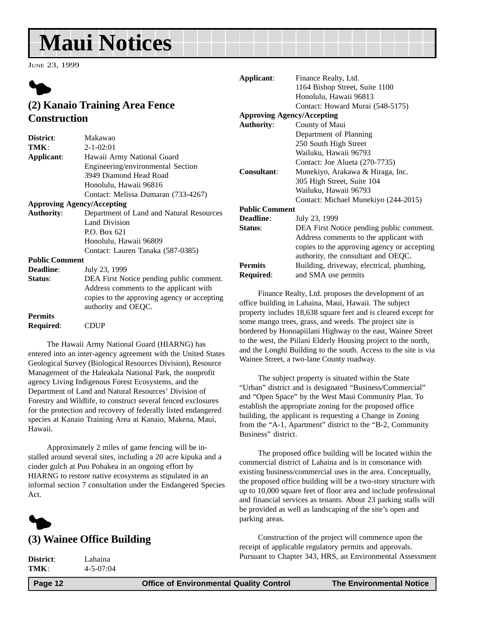# <span id="page-11-0"></span>**Maui Notices**

JUNE 23, 1999



#### **(2) Kanaio Training Area Fence Construction**

| Makawao                                                                                                      |
|--------------------------------------------------------------------------------------------------------------|
| $2 - 1 - 02:01$                                                                                              |
| Hawaii Army National Guard                                                                                   |
| Engineering/environmental Section                                                                            |
| 3949 Diamond Head Road                                                                                       |
| Honolulu, Hawaii 96816                                                                                       |
| Contact: Melissa Dumaran (733-4267)                                                                          |
| <b>Approving Agency/Accepting</b>                                                                            |
| Department of Land and Natural Resources                                                                     |
| <b>Land Division</b>                                                                                         |
| P.O. Box 621                                                                                                 |
| Honolulu, Hawaii 96809                                                                                       |
| Contact: Lauren Tanaka (587-0385)                                                                            |
| <b>Public Comment</b>                                                                                        |
| July 23, 1999                                                                                                |
| DEA First Notice pending public comment.                                                                     |
| Address comments to the applicant with<br>copies to the approving agency or accepting<br>authority and OEQC. |
|                                                                                                              |

**Permits**

**Required**: CDUP

The Hawaii Army National Guard (HIARNG) has entered into an inter-agency agreement with the United States Geological Survey (Biological Resources Division), Resource Management of the Haleakala National Park, the nonprofit agency Living Indigenous Forest Ecosystems, and the Department of Land and Natural Resources' Division of Forestry and Wildlife, to construct several fenced exclosures for the protection and recovery of federally listed endangered species at Kanaio Training Area at Kanaio, Makena, Maui, Hawaii.

Approximately 2 miles of game fencing will be installed around several sites, including a 20 acre kipuka and a cinder gulch at Puu Pohakea in an ongoing effort by HIARNG to restore native ecosystems as stipulated in an informal section 7 consultation under the Endangered Species Act.



#### **(3) Wainee Office Building**

**District**: Lahaina

**TMK**: 4-5-07:04

**Applicant**: Finance Realty, Ltd. 1164 Bishop Street, Suite 1100 Honolulu, Hawaii 96813 Contact: Howard Murai (548-5175) **Approving Agency/Accepting Authority**: County of Maui Department of Planning 250 South High Street Wailuku, Hawaii 96793 Contact: Joe Alueta (270-7735) **Consultant**: Munekiyo, Arakawa & Hiraga, Inc. 305 High Street, Suite 104 Wailuku, Hawaii 96793 Contact: Michael Munekiyo (244-2015) **Public Comment Deadline**: July 23, 1999 **Status**: DEA First Notice pending public comment. Address comments to the applicant with copies to the approving agency or accepting authority, the consultant and OEQC. Permits Building, driveway, electrical, plumbing,

Finance Realty, Ltd. proposes the development of an office building in Lahaina, Maui, Hawaii. The subject property includes 18,638 square feet and is cleared except for some mango trees, grass, and weeds. The project site is bordered by Honoapiilani Highway to the east, Wainee Street to the west, the Piilani Elderly Housing project to the north, and the Longhi Building to the south. Access to the site is via Wainee Street, a two-lane County roadway.

**Required**: and SMA use permits

The subject property is situated within the State "Urban" district and is designated "Business/Commercial" and "Open Space" by the West Maui Community Plan. To establish the appropriate zoning for the proposed office building, the applicant is requesting a Change in Zoning from the "A-1, Apartment" district to the "B-2, Community Business" district.

The proposed office building will be located within the commercial district of Lahaina and is in consonance with existing business/commercial uses in the area. Conceptually, the proposed office building will be a two-story structure with up to 10,000 square feet of floor area and include professional and financial services as tenants. About 23 parking stalls will be provided as well as landscaping of the site's open and parking areas.

Construction of the project will commence upon the receipt of applicable regulatory permits and approvals. Pursuant to Chapter 343, HRS, an Environmental Assessment

 **Page 12 Control Control Control Control Control Page 12 The Environmental Notice Control Control Control**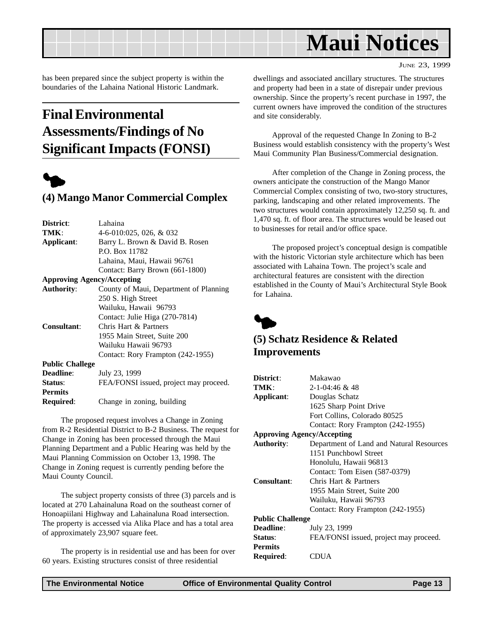<span id="page-12-0"></span>

JUNE 23, 1999

has been prepared since the subject property is within the boundaries of the Lahaina National Historic Landmark.

#### **Final Environmental Assessments/Findings of No Significant Impacts (FONSI)**



#### **(4) Mango Manor Commercial Complex**

| District:                         | Lahaina                                |
|-----------------------------------|----------------------------------------|
| TMK:                              | 4-6-010:025, 026, & 032                |
| Applicant:                        | Barry L. Brown & David B. Rosen        |
|                                   | P.O. Box 11782                         |
|                                   | Lahaina, Maui, Hawaii 96761            |
|                                   | Contact: Barry Brown (661-1800)        |
| <b>Approving Agency/Accepting</b> |                                        |
| <b>Authority:</b>                 | County of Maui, Department of Planning |
|                                   | 250 S. High Street                     |
|                                   | Wailuku, Hawaii 96793                  |
|                                   | Contact: Julie Higa (270-7814)         |
| <b>Consultant:</b>                | Chris Hart & Partners                  |
|                                   | 1955 Main Street, Suite 200            |
|                                   | Wailuku Hawaii 96793                   |
|                                   | Contact: Rory Frampton (242-1955)      |
| <b>Public Challege</b>            |                                        |
| <b>Deadline:</b>                  | July 23, 1999                          |
| Status:                           | FEA/FONSI issued, project may proceed. |
| <b>Permits</b>                    |                                        |
| <b>Required:</b>                  | Change in zoning, building             |

The proposed request involves a Change in Zoning from R-2 Residential District to B-2 Business. The request for Change in Zoning has been processed through the Maui Planning Department and a Public Hearing was held by the Maui Planning Commission on October 13, 1998. The Change in Zoning request is currently pending before the Maui County Council.

The subject property consists of three (3) parcels and is located at 270 Lahainaluna Road on the southeast corner of Honoapiilani Highway and Lahainaluna Road intersection. The property is accessed via Alika Place and has a total area of approximately 23,907 square feet.

The property is in residential use and has been for over 60 years. Existing structures consist of three residential

dwellings and associated ancillary structures. The structures and property had been in a state of disrepair under previous ownership. Since the property's recent purchase in 1997, the current owners have improved the condition of the structures and site considerably.

Approval of the requested Change In Zoning to B-2 Business would establish consistency with the property's West Maui Community Plan Business/Commercial designation.

After completion of the Change in Zoning process, the owners anticipate the construction of the Mango Manor Commercial Complex consisting of two, two-story structures, parking, landscaping and other related improvements. The two structures would contain approximately 12,250 sq. ft. and 1,470 sq. ft. of floor area. The structures would be leased out to businesses for retail and/or office space.

The proposed project's conceptual design is compatible with the historic Victorian style architecture which has been associated with Lahaina Town. The project's scale and architectural features are consistent with the direction established in the County of Maui's Architectural Style Book for Lahaina.



#### **(5) Schatz Residence & Related Improvements**

| District:                         | Makawao                                  |
|-----------------------------------|------------------------------------------|
| TMK:                              | $2 - 1 - 04:46 \& 48$                    |
| Applicant:                        | Douglas Schatz                           |
|                                   | 1625 Sharp Point Drive                   |
|                                   | Fort Collins, Colorado 80525             |
|                                   | Contact: Rory Frampton (242-1955)        |
| <b>Approving Agency/Accepting</b> |                                          |
| <b>Authority:</b>                 | Department of Land and Natural Resources |
|                                   | 1151 Punchbowl Street                    |
|                                   | Honolulu, Hawaii 96813                   |
|                                   | Contact: Tom Eisen (587-0379)            |
| Consultant:                       | Chris Hart & Partners                    |
|                                   | 1955 Main Street, Suite 200              |
|                                   | Wailuku, Hawaii 96793                    |
|                                   | Contact: Rory Frampton (242-1955)        |
| <b>Public Challenge</b>           |                                          |
| <b>Deadline:</b>                  | July 23, 1999                            |
| <b>Status:</b>                    | FEA/FONSI issued, project may proceed.   |
| <b>Permits</b>                    |                                          |
| Required:                         | <b>CDUA</b>                              |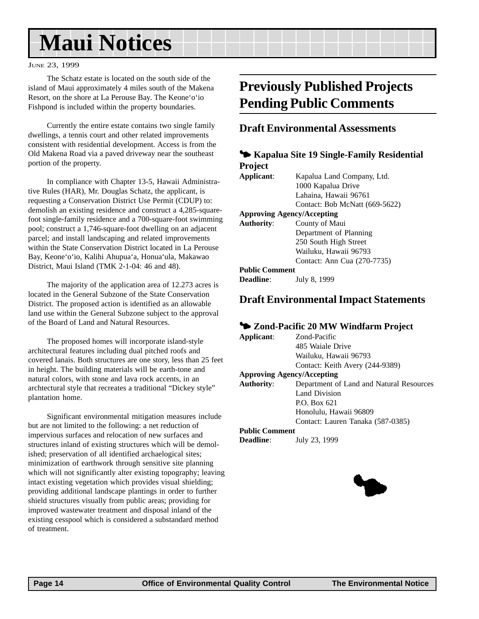# <span id="page-13-0"></span>**Maui Notices**

#### JUNE 23, 1999

The Schatz estate is located on the south side of the island of Maui approximately 4 miles south of the Makena Resort, on the shore at La Perouse Bay. The Keone'o'io Fishpond is included within the property boundaries.

Currently the entire estate contains two single family dwellings, a tennis court and other related improvements consistent with residential development. Access is from the Old Makena Road via a paved driveway near the southeast portion of the property.

In compliance with Chapter 13-5, Hawaii Administrative Rules (HAR), Mr. Douglas Schatz, the applicant, is requesting a Conservation District Use Permit (CDUP) to: demolish an existing residence and construct a 4,285-squarefoot single-family residence and a 700-square-foot swimming pool; construct a 1,746-square-foot dwelling on an adjacent parcel; and install landscaping and related improvements within the State Conservation District located in La Perouse Bay, Keone'o'io, Kalihi Ahupua'a, Honua'ula, Makawao District, Maui Island (TMK 2-1-04: 46 and 48).

The majority of the application area of 12.273 acres is located in the General Subzone of the State Conservation District. The proposed action is identified as an allowable land use within the General Subzone subject to the approval of the Board of Land and Natural Resources.

The proposed homes will incorporate island-style architectural features including dual pitched roofs and covered lanais. Both structures are one story, less than 25 feet in height. The building materials will be earth-tone and natural colors, with stone and lava rock accents, in an archtectural style that recreates a traditional "Dickey style" plantation home.

Significant environmental mitigation measures include but are not limited to the following: a net reduction of impervious surfaces and relocation of new surfaces and structures inland of existing structures which will be demolished; preservation of all identified archaelogical sites; minimization of earthwork through sensitive site planning which will not significantly alter existing topography; leaving intact existing vegetation which provides visual shielding; providing additional landscape plantings in order to further shield structures visually from public areas; providing for improved wastewater treatment and disposal inland of the existing cesspool which is considered a substandard method of treatment.

#### **Previously Published Projects Pending Public Comments**

#### **Draft Environmental Assessments**

|                       | • Kapalua Site 19 Single-Family Residential |
|-----------------------|---------------------------------------------|
| <b>Project</b>        |                                             |
| Applicant:            | Kapalua Land Company, Ltd.                  |
|                       | 1000 Kapalua Drive                          |
|                       | Lahaina. Hawaii 96761                       |
|                       | Contact: Bob McNatt (669-5622)              |
|                       | <b>Approving Agency/Accepting</b>           |
| <b>Authority:</b>     | County of Maui                              |
|                       | Department of Planning                      |
|                       | 250 South High Street                       |
|                       | Wailuku, Hawaii 96793                       |
|                       | Contact: Ann Cua (270-7735)                 |
| <b>Public Comment</b> |                                             |
| <b>Deadline:</b>      | July 8, 1999                                |

#### **Draft Environmental Impact Statements**

#### 3 **Zond-Pacific 20 MW Windfarm Project**

| Applicant:            | Zond-Pacific                             |
|-----------------------|------------------------------------------|
|                       | 485 Waiale Drive                         |
|                       | Wailuku, Hawaii 96793                    |
|                       | Contact: Keith Avery (244-9389)          |
|                       | <b>Approving Agency/Accepting</b>        |
| Authority:            | Department of Land and Natural Resources |
|                       | Land Division                            |
|                       | P.O. Box 621                             |
|                       | Honolulu, Hawaii 96809                   |
|                       | Contact: Lauren Tanaka (587-0385)        |
| <b>Public Comment</b> |                                          |
| <b>Deadline:</b>      | July 23, 1999                            |

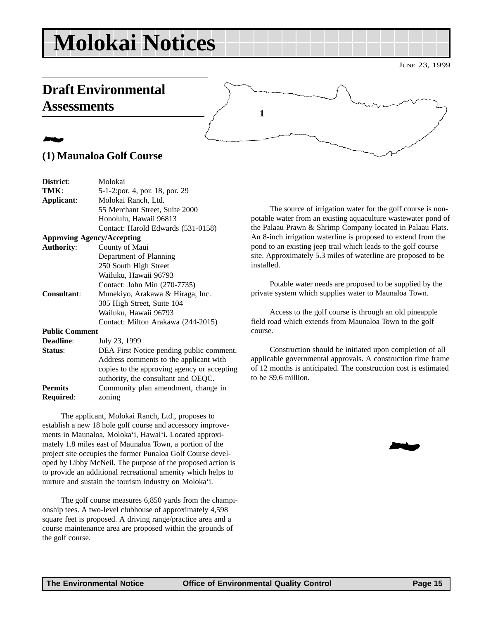# <span id="page-14-0"></span>**Molokai Notices**

#### **Draft Environmental Assessments**



#### 2 **(1) Maunaloa Golf Course**

| District:             | Molokai                                     |
|-----------------------|---------------------------------------------|
| TMK:                  | 5-1-2:por. 4, por. 18, por. 29              |
| Applicant:            | Molokai Ranch, Ltd.                         |
|                       | 55 Merchant Street, Suite 2000              |
|                       | Honolulu, Hawaii 96813                      |
|                       | Contact: Harold Edwards (531-0158)          |
|                       | <b>Approving Agency/Accepting</b>           |
| <b>Authority:</b>     | County of Maui                              |
|                       | Department of Planning                      |
|                       | 250 South High Street                       |
|                       | Wailuku, Hawaii 96793                       |
|                       | Contact: John Min (270-7735)                |
| <b>Consultant:</b>    | Munekiyo, Arakawa & Hiraga, Inc.            |
|                       | 305 High Street, Suite 104                  |
|                       | Wailuku, Hawaii 96793                       |
|                       | Contact: Milton Arakawa (244-2015)          |
| <b>Public Comment</b> |                                             |
| <b>Deadline:</b>      | July 23, 1999                               |
| Status:               | DEA First Notice pending public comment.    |
|                       | Address comments to the applicant with      |
|                       | copies to the approving agency or accepting |
|                       | authority, the consultant and OEQC.         |
| <b>Permits</b>        | Community plan amendment, change in         |
| Required:             | zoning                                      |
|                       |                                             |

The applicant, Molokai Ranch, Ltd., proposes to establish a new 18 hole golf course and accessory improvements in Maunaloa, Moloka'i, Hawai'i. Located approximately 1.8 miles east of Maunaloa Town, a portion of the project site occupies the former Punaloa Golf Course developed by Libby McNeil. The purpose of the proposed action is to provide an additional recreational amenity which helps to nurture and sustain the tourism industry on Moloka'i.

The golf course measures 6,850 yards from the championship tees. A two-level clubhouse of approximately 4,598 square feet is proposed. A driving range/practice area and a course maintenance area are proposed within the grounds of the golf course.

The source of irrigation water for the golf course is nonpotable water from an existing aquaculture wastewater pond of the Palaau Prawn & Shrimp Company located in Palaau Flats. An 8-inch irrigation waterline is proposed to extend from the pond to an existing jeep trail which leads to the golf course site. Approximately 5.3 miles of waterline are proposed to be installed.

Potable water needs are proposed to be supplied by the private system which supplies water to Maunaloa Town.

Access to the golf course is through an old pineapple field road which extends from Maunaloa Town to the golf course.

Construction should be initiated upon completion of all applicable governmental approvals. A construction time frame of 12 months is anticipated. The construction cost is estimated to be \$9.6 million.

2

JUNE 23, 1999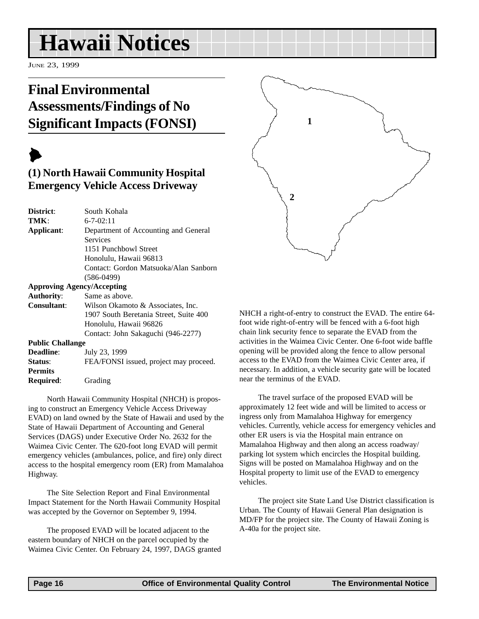## <span id="page-15-0"></span>**Hawaii Notices**

JUNE 23, 1999

#### **Final Environmental Assessments/Findings of No Significant Impacts (FONSI)**

 $\blacktriangleright$ 

**Permits**

**Required**: Grading

#### **(1) North Hawaii Community Hospital Emergency Vehicle Access Driveway**

| District:               | South Kohala                           |
|-------------------------|----------------------------------------|
| TMK:                    | $6 - 7 - 02:11$                        |
| Applicant:              | Department of Accounting and General   |
|                         | Services                               |
|                         | 1151 Punchbowl Street                  |
|                         | Honolulu, Hawaii 96813                 |
|                         | Contact: Gordon Matsuoka/Alan Sanborn  |
|                         | $(586-0499)$                           |
|                         | <b>Approving Agency/Accepting</b>      |
| <b>Authority:</b>       | Same as above.                         |
| Consultant:             | Wilson Okamoto & Associates, Inc.      |
|                         | 1907 South Beretania Street, Suite 400 |
|                         | Honolulu, Hawaii 96826                 |
|                         | Contact: John Sakaguchi (946-2277)     |
| <b>Public Challange</b> |                                        |
| <b>Deadline:</b>        | July 23, 1999                          |
| Status:                 | FEA/FONSI issued, project may proceed. |

North Hawaii Community Hospital (NHCH) is proposing to construct an Emergency Vehicle Access Driveway EVAD) on land owned by the State of Hawaii and used by the State of Hawaii Department of Accounting and General Services (DAGS) under Executive Order No. 2632 for the Waimea Civic Center. The 620-foot long EVAD will permit emergency vehicles (ambulances, police, and fire) only direct access to the hospital emergency room (ER) from Mamalahoa Highway.

The Site Selection Report and Final Environmental Impact Statement for the North Hawaii Community Hospital was accepted by the Governor on September 9, 1994.

The proposed EVAD will be located adjacent to the eastern boundary of NHCH on the parcel occupied by the Waimea Civic Center. On February 24, 1997, DAGS granted



NHCH a right-of-entry to construct the EVAD. The entire 64 foot wide right-of-entry will be fenced with a 6-foot high chain link security fence to separate the EVAD from the activities in the Waimea Civic Center. One 6-foot wide baffle opening will be provided along the fence to allow personal access to the EVAD from the Waimea Civic Center area, if necessary. In addition, a vehicle security gate will be located near the terminus of the EVAD.

The travel surface of the proposed EVAD will be approximately 12 feet wide and will be limited to access or ingress only from Mamalahoa Highway for emergency vehicles. Currently, vehicle access for emergency vehicles and other ER users is via the Hospital main entrance on Mamalahoa Highway and then along an access roadway/ parking lot system which encircles the Hospital building. Signs will be posted on Mamalahoa Highway and on the Hospital property to limit use of the EVAD to emergency vehicles.

The project site State Land Use District classification is Urban. The County of Hawaii General Plan designation is MD/FP for the project site. The County of Hawaii Zoning is A-40a for the project site.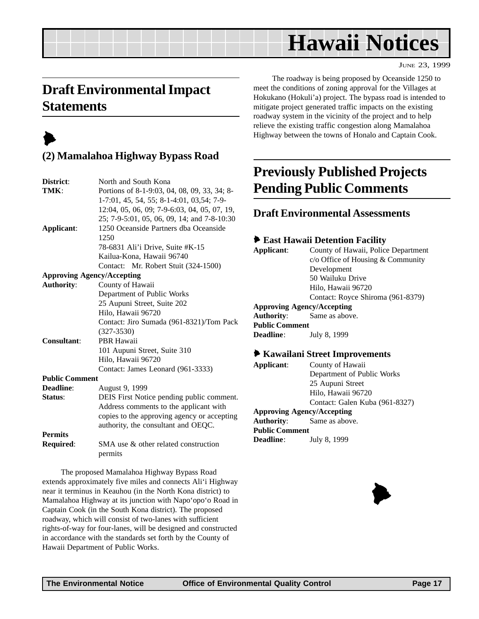## **Hawaii Notices**

JUNE 23, 1999

#### <span id="page-16-0"></span>**Draft Environmental Impact Statements**

## $\blacktriangleright$

#### **(2) Mamalahoa Highway Bypass Road**

| District:             | North and South Kona                         |  |  |  |
|-----------------------|----------------------------------------------|--|--|--|
| TMK:                  | Portions of 8-1-9:03, 04, 08, 09, 33, 34; 8- |  |  |  |
|                       | 1-7:01, 45, 54, 55; 8-1-4:01, 03,54; 7-9-    |  |  |  |
|                       | 12:04, 05, 06, 09; 7-9-6:03, 04, 05, 07, 19, |  |  |  |
|                       | 25; 7-9-5:01, 05, 06, 09, 14; and 7-8-10:30  |  |  |  |
| Applicant:            | 1250 Oceanside Partners dba Oceanside        |  |  |  |
|                       | 1250                                         |  |  |  |
|                       | 78-6831 Ali'i Drive, Suite #K-15             |  |  |  |
|                       | Kailua-Kona, Hawaii 96740                    |  |  |  |
|                       | Contact: Mr. Robert Stuit (324-1500)         |  |  |  |
|                       | <b>Approving Agency/Accepting</b>            |  |  |  |
| <b>Authority:</b>     | County of Hawaii                             |  |  |  |
|                       | Department of Public Works                   |  |  |  |
|                       | 25 Aupuni Street, Suite 202                  |  |  |  |
|                       | Hilo, Hawaii 96720                           |  |  |  |
|                       | Contact: Jiro Sumada (961-8321)/Tom Pack     |  |  |  |
|                       | $(327 - 3530)$                               |  |  |  |
| <b>Consultant:</b>    | <b>PBR Hawaii</b>                            |  |  |  |
|                       | 101 Aupuni Street, Suite 310                 |  |  |  |
|                       | Hilo, Hawaii 96720                           |  |  |  |
|                       | Contact: James Leonard (961-3333)            |  |  |  |
| <b>Public Comment</b> |                                              |  |  |  |
| Deadline:             | August 9, 1999                               |  |  |  |
| Status:               | DEIS First Notice pending public comment.    |  |  |  |
|                       | Address comments to the applicant with       |  |  |  |
|                       | copies to the approving agency or accepting  |  |  |  |
|                       | authority, the consultant and OEQC.          |  |  |  |
| <b>Permits</b>        |                                              |  |  |  |
| <b>Required:</b>      | SMA use & other related construction         |  |  |  |
|                       | permits                                      |  |  |  |

The proposed Mamalahoa Highway Bypass Road extends approximately five miles and connects Ali'i Highway near it terminus in Keauhou (in the North Kona district) to Mamalahoa Highway at its junction with Napo'opo'o Road in Captain Cook (in the South Kona district). The proposed roadway, which will consist of two-lanes with sufficient rights-of-way for four-lanes, will be designed and constructed in accordance with the standards set forth by the County of Hawaii Department of Public Works.

The roadway is being proposed by Oceanside 1250 to meet the conditions of zoning approval for the Villages at Hokukano (Hokuli'a) project. The bypass road is intended to mitigate project generated traffic impacts on the existing roadway system in the vicinity of the project and to help relieve the existing traffic congestion along Mamalahoa Highway between the towns of Honalo and Captain Cook.

#### **Previously Published Projects Pending Public Comments**

#### **Draft Environmental Assessments**

#### 6 **East Hawaii Detention Facility**

| Applicant:            | County of Hawaii, Police Department      |  |  |  |
|-----------------------|------------------------------------------|--|--|--|
|                       | $c/\sigma$ Office of Housing & Community |  |  |  |
|                       | Development                              |  |  |  |
|                       | 50 Wailuku Drive                         |  |  |  |
|                       | Hilo, Hawaii 96720                       |  |  |  |
|                       | Contact: Royce Shiroma (961-8379)        |  |  |  |
|                       | <b>Approving Agency/Accepting</b>        |  |  |  |
| Authority:            | Same as above.                           |  |  |  |
| <b>Public Comment</b> |                                          |  |  |  |
| <b>Deadline:</b>      | July 8, 1999                             |  |  |  |
|                       | ◆ Kawailani Street Improvements          |  |  |  |
|                       |                                          |  |  |  |

| Applicant:            | County of Hawaii                  |  |  |
|-----------------------|-----------------------------------|--|--|
|                       | Department of Public Works        |  |  |
|                       | 25 Aupuni Street                  |  |  |
|                       | Hilo, Hawaii 96720                |  |  |
|                       | Contact: Galen Kuba (961-8327)    |  |  |
|                       | <b>Approving Agency/Accepting</b> |  |  |
|                       | <b>Authority:</b> Same as above.  |  |  |
| <b>Public Comment</b> |                                   |  |  |
| <b>Deadline:</b>      | July 8, 1999                      |  |  |
|                       |                                   |  |  |

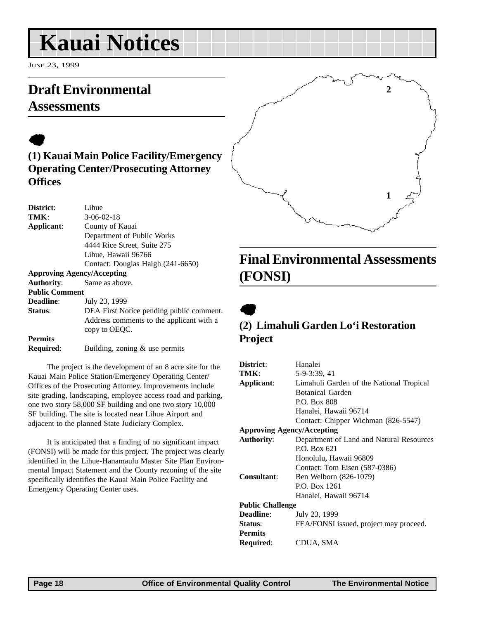# <span id="page-17-0"></span>**Kauai Notices**

JUNE 23, 1999

#### **Draft Environmental Assessments**

#### $\bullet$ **(1) Kauai Main Police Facility/Emergency Operating Center/Prosecuting Attorney Offices**

| <b>District:</b>                  | Lihue.                                   |  |  |  |
|-----------------------------------|------------------------------------------|--|--|--|
| TMK:                              | $3-06-02-18$                             |  |  |  |
| Applicant:                        | County of Kauai                          |  |  |  |
|                                   | Department of Public Works               |  |  |  |
|                                   | 4444 Rice Street, Suite 275              |  |  |  |
|                                   | Lihue, Hawaii 96766                      |  |  |  |
|                                   | Contact: Douglas Haigh (241-6650)        |  |  |  |
| <b>Approving Agency/Accepting</b> |                                          |  |  |  |
| <b>Authority:</b>                 | Same as above.                           |  |  |  |
| <b>Public Comment</b>             |                                          |  |  |  |
| <b>Deadline:</b>                  | July 23, 1999                            |  |  |  |
| <b>Status:</b>                    | DEA First Notice pending public comment. |  |  |  |
|                                   | Address comments to the applicant with a |  |  |  |
|                                   | copy to OEQC.                            |  |  |  |
| <b>Permits</b>                    |                                          |  |  |  |
| Required:                         | Building, zoning $\&$ use permits        |  |  |  |
|                                   |                                          |  |  |  |

The project is the development of an 8 acre site for the Kauai Main Police Station/Emergency Operating Center/ Offices of the Prosecuting Attorney. Improvements include site grading, landscaping, employee access road and parking, one two story 58,000 SF building and one two story 10,000 SF building. The site is located near Lihue Airport and adjacent to the planned State Judiciary Complex.

It is anticipated that a finding of no significant impact (FONSI) will be made for this project. The project was clearly identified in the Lihue-Hanamaulu Master Site Plan Environmental Impact Statement and the County rezoning of the site specifically identifies the Kauai Main Police Facility and Emergency Operating Center uses.

# **2 1**

#### **Final Environmental Assessments (FONSI)**

 $\bullet$ 

#### **(2) Limahuli Garden Lo'i Restoration Project**

| District:                         | Hanalei                                  |  |  |
|-----------------------------------|------------------------------------------|--|--|
| TMK:                              | 5-9-3:39, 41                             |  |  |
| Applicant:                        |                                          |  |  |
|                                   | Limahuli Garden of the National Tropical |  |  |
|                                   | <b>Botanical Garden</b>                  |  |  |
|                                   | P.O. Box 808                             |  |  |
|                                   | Hanalei, Hawaii 96714                    |  |  |
|                                   | Contact: Chipper Wichman (826-5547)      |  |  |
| <b>Approving Agency/Accepting</b> |                                          |  |  |
| <b>Authority:</b>                 | Department of Land and Natural Resources |  |  |
|                                   | P.O. Box 621                             |  |  |
|                                   | Honolulu, Hawaii 96809                   |  |  |
|                                   | Contact: Tom Eisen (587-0386)            |  |  |
| Consultant:                       | Ben Welborn (826-1079)                   |  |  |
|                                   | P.O. Box 1261                            |  |  |
|                                   | Hanalei, Hawaii 96714                    |  |  |
| <b>Public Challenge</b>           |                                          |  |  |
| Deadline:                         | July 23, 1999                            |  |  |
| Status:                           | FEA/FONSI issued, project may proceed.   |  |  |
| <b>Permits</b>                    |                                          |  |  |
| Required:                         | CDUA, SMA                                |  |  |
|                                   |                                          |  |  |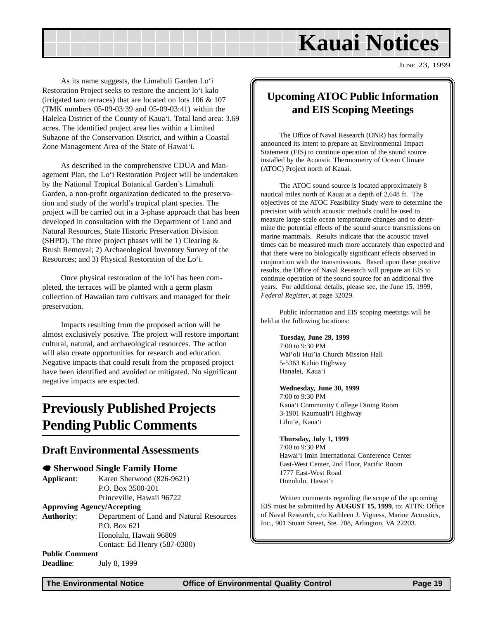## **Kauai Notices**

JUNE 23, 1999

<span id="page-18-0"></span>As its name suggests, the Limahuli Garden Lo'i Restoration Project seeks to restore the ancient lo'i kalo (irrigated taro terraces) that are located on lots 106 & 107 (TMK numbers 05-09-03:39 and 05-09-03:41) within the Halelea District of the County of Kaua'i. Total land area: 3.69 acres. The identified project area lies within a Limited Subzone of the Conservation District, and within a Coastal Zone Management Area of the State of Hawai'i.

As described in the comprehensive CDUA and Management Plan, the Lo'i Restoration Project will be undertaken by the National Tropical Botanical Garden's Limahuli Garden, a non-profit organization dedicated to the preservation and study of the world's tropical plant species. The project will be carried out in a 3-phase approach that has been developed in consultation with the Department of Land and Natural Resources, State Historic Preservation Division (SHPD). The three project phases will be 1) Clearing  $&$ Brush Removal; 2) Archaeological Inventory Survey of the Resources; and 3) Physical Restoration of the Lo'i.

Once physical restoration of the lo'i has been completed, the terraces will be planted with a germ plasm collection of Hawaiian taro cultivars and managed for their preservation.

Impacts resulting from the proposed action will be almost exclusively positive. The project will restore important cultural, natural, and archaeological resources. The action will also create opportunities for research and education. Negative impacts that could result from the proposed project have been identified and avoided or mitigated. No significant negative impacts are expected.

#### **Previously Published Projects Pending Public Comments**

#### **Draft Environmental Assessments**

#### 7 **Sherwood Single Family Home**

**Applicant**: Karen Sherwood (826-9621) P.O. Box 3500-201 Princeville, Hawaii 96722

#### **Approving Agency/Accepting**

**Authority**: Department of Land and Natural Resources P.O. Box 621 Honolulu, Hawaii 96809 Contact: Ed Henry (587-0380)

**Public Comment**

#### **Deadline:** July 8, 1999

#### **Upcoming ATOC Public Information and EIS Scoping Meetings**

The Office of Naval Research (ONR) has formally announced its intent to prepare an Environmental Impact Statement (EIS) to continue operation of the sound source installed by the Acoustic Thermometry of Ocean Climate (ATOC) Project north of Kauai.

The ATOC sound source is located approximately 8 nautical miles north of Kauai at a depth of 2,648 ft. The objectives of the ATOC Feasibility Study were to determine the precision with which acoustic methods could be used to measure large-scale ocean temperature changes and to determine the potential effects of the sound source transmissions on marine mammals. Results indicate that the acoustic travel times can be measured much more accurately than expected and that there were no biologically significant effects observed in conjunction with the transmissions. Based upon these positive results, the Office of Naval Research will prepare an EIS to continue operation of the sound source for an additional five years. For additional details, please see, the June 15, 1999, *Federal Register*, at page 32029.

Public information and EIS scoping meetings will be held at the following locations:

#### **Tuesday, June 29, 1999**

7:00 to 9:30 PM Wai'oli Hui'ia Church Mission Hall 5-5363 Kuhio Highway Hanalei, Kaua'i

#### **Wednesday, June 30, 1999**

7:00 to 9:30 PM Kaua'i Community College Dining Room 3-1901 Kaumuali'i Highway Lihu'e, Kaua'i

#### **Thursday, July 1, 1999**

7:00 to 9:30 PM Hawai'i Imin International Conference Center East-West Center, 2nd Floor, Pacific Room 1777 East-West Road Honolulu, Hawai'i

Written comments regarding the scope of the upcoming EIS must be submitted by **AUGUST 15, 1999**, to: ATTN: Office of Naval Research, c/o Kathleen J. Vigness, Marine Acoustics, Inc., 901 Stuart Street, Ste. 708, Arlington, VA 22203.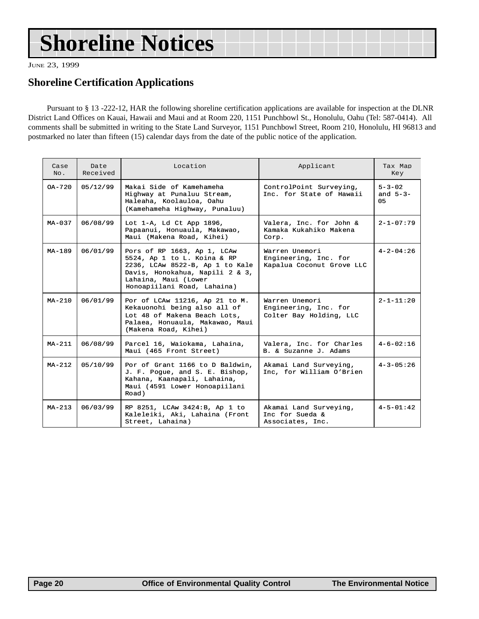# <span id="page-19-0"></span>**Shoreline Notices**

JUNE 23, 1999

#### **Shoreline Certification Applications**

Pursuant to § 13 -222-12, HAR the following shoreline certification applications are available for inspection at the DLNR District Land Offices on Kauai, Hawaii and Maui and at Room 220, 1151 Punchbowl St., Honolulu, Oahu (Tel: 587-0414). All comments shall be submitted in writing to the State Land Surveyor, 1151 Punchbowl Street, Room 210, Honolulu, HI 96813 and postmarked no later than fifteen (15) calendar days from the date of the public notice of the application.

| Case<br>No. | Date<br>Received | Location                                                                                                                                                                                | Applicant                                                            | Tax Map<br>Key                      |
|-------------|------------------|-----------------------------------------------------------------------------------------------------------------------------------------------------------------------------------------|----------------------------------------------------------------------|-------------------------------------|
| $OA - 720$  | 05/12/99         | Makai Side of Kamehameha<br>Highway at Punaluu Stream,<br>Haleaha, Koolauloa, Oahu<br>(Kamehameha Highway, Punaluu)                                                                     | ControlPoint Surveying,<br>Inc. for State of Hawaii                  | $5 - 3 - 02$<br>and $5 - 3 -$<br>05 |
| $MA - 037$  | 06/08/99         | Lot 1-A, Ld Ct App 1896,<br>Papaanui, Honuaula, Makawao,<br>Maui (Makena Road, Kihei)                                                                                                   | Valera, Inc. for John &<br>Kamaka Kukahiko Makena<br>Corp.           | $2 - 1 - 07:79$                     |
| $MA-189$    | 06/01/99         | Pors of RP 1663, Ap 1, LCAw<br>5524, Ap 1 to L. Koina & RP<br>2236, LCAw 8522-B, Ap 1 to Kale<br>Davis, Honokahua, Napili 2 & 3,<br>Lahaina, Maui (Lower<br>Honoapiilani Road, Lahaina) | Warren Unemori<br>Engineering, Inc. for<br>Kapalua Coconut Grove LLC | $4 - 2 - 04:26$                     |
| $MA-210$    | 06/01/99         | Por of LCAw 11216, Ap 21 to M.<br>Kekauonohi being also all of<br>Lot 48 of Makena Beach Lots,<br>Palaea, Honuaula, Makawao, Maui<br>(Makena Road, Kihei)                               | Warren Unemori<br>Engineering, Inc. for<br>Colter Bay Holding, LLC   | $2 - 1 - 11:20$                     |
| $MA-211$    | 06/08/99         | Parcel 16, Waiokama, Lahaina,<br>Maui (465 Front Street)                                                                                                                                | Valera, Inc. for Charles<br>B. & Suzanne J. Adams                    | $4 - 6 - 02 : 16$                   |
| $MA-212$    | 05/10/99         | Por of Grant 1166 to D Baldwin,<br>J. F. Pogue, and S. E. Bishop,<br>Kahana, Kaanapali, Lahaina,<br>Maui (4591 Lower Honoapiilani<br>Road)                                              | Akamai Land Surveying,<br>Inc, for William O'Brien                   | $4 - 3 - 05 : 26$                   |
| $MA-213$    | 06/03/99         | RP 8251, LCAw 3424:B, Ap 1 to<br>Kaleleiki, Aki, Lahaina (Front<br>Street, Lahaina)                                                                                                     | Akamai Land Surveying,<br>Inc for Sueda &<br>Associates, Inc.        | $4 - 5 - 01:42$                     |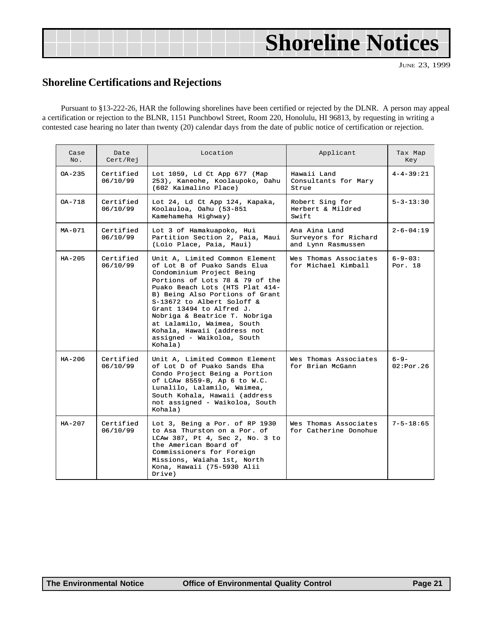# <span id="page-20-0"></span>**Shoreline Notices**

JUNE 23, 1999

#### **Shoreline Certifications and Rejections**

Pursuant to §13-222-26, HAR the following shorelines have been certified or rejected by the DLNR. A person may appeal a certification or rejection to the BLNR, 1151 Punchbowl Street, Room 220, Honolulu, HI 96813, by requesting in writing a contested case hearing no later than twenty (20) calendar days from the date of public notice of certification or rejection.

| Case<br>No. | Date<br>Cert/Rej      | Location<br>Applicant                                                                                                                                                                                                                                                                                                                                                                                 |                                                              | Tax Map<br>Key           |
|-------------|-----------------------|-------------------------------------------------------------------------------------------------------------------------------------------------------------------------------------------------------------------------------------------------------------------------------------------------------------------------------------------------------------------------------------------------------|--------------------------------------------------------------|--------------------------|
| $OA - 235$  | Certified<br>06/10/99 | Lot 1059, Ld Ct App 677 (Map<br>253), Kaneohe, Koolaupoko, Oahu<br>(602 Kaimalino Place)                                                                                                                                                                                                                                                                                                              | Hawaii Land<br>Consultants for Mary<br>Strue                 | $4 - 4 - 39:21$          |
| $OA-718$    | Certified<br>06/10/99 | Lot 24, Ld Ct App 124, Kapaka,<br>Koolauloa, Oahu (53-851<br>Kamehameha Highway)                                                                                                                                                                                                                                                                                                                      | Robert Sing for<br>Herbert & Mildred<br>Swift                | $5 - 3 - 13:30$          |
| $MA-071$    | Certified<br>06/10/99 | Lot 3 of Hamakuapoko, Hui<br>Partition Section 2, Paia, Maui<br>(Loio Place, Paia, Maui)                                                                                                                                                                                                                                                                                                              | Ana Aina Land<br>Surveyors for Richard<br>and Lynn Rasmussen | $2 - 6 - 04:19$          |
| $HA - 205$  | Certified<br>06/10/99 | Unit A, Limited Common Element<br>of Lot B of Puako Sands Elua<br>Condominium Project Being<br>Portions of Lots 78 & 79 of the<br>Puako Beach Lots (HTS Plat 414-<br>B) Being Also Portions of Grant<br>S-13672 to Albert Soloff &<br>Grant 13494 to Alfred J.<br>Nobriga & Beatrice T. Nobriga<br>at Lalamilo, Waimea, South<br>Kohala, Hawaii (address not<br>assigned - Waikoloa, South<br>Kohala) | Wes Thomas Associates<br>for Michael Kimball                 | $6 - 9 - 03:$<br>Por. 18 |
| $HA-206$    | Certified<br>06/10/99 | Unit A, Limited Common Element<br>of Lot D of Puako Sands Eha<br>Condo Project Being a Portion<br>of LCAw 8559-B, Ap 6 to W.C.<br>Lunalilo, Lalamilo, Waimea,<br>South Kohala, Hawaii (address<br>not assigned - Waikoloa, South<br>Kohala)                                                                                                                                                           | Wes Thomas Associates<br>for Brian McGann                    | $6 - 9 -$<br>02:Por.26   |
| $HA - 207$  | Certified<br>06/10/99 | Lot 3, Being a Por. of RP 1930<br>to Asa Thurston on a Por. of<br>LCAw 387, Pt 4, Sec 2, No. 3 to<br>the American Board of<br>Commissioners for Foreign<br>Missions, Waiaha 1st, North<br>Kona, Hawaii (75-5930 Alii<br>Dirive)                                                                                                                                                                       | Wes Thomas Associates<br>for Catherine Donohue               | $7 - 5 - 18:65$          |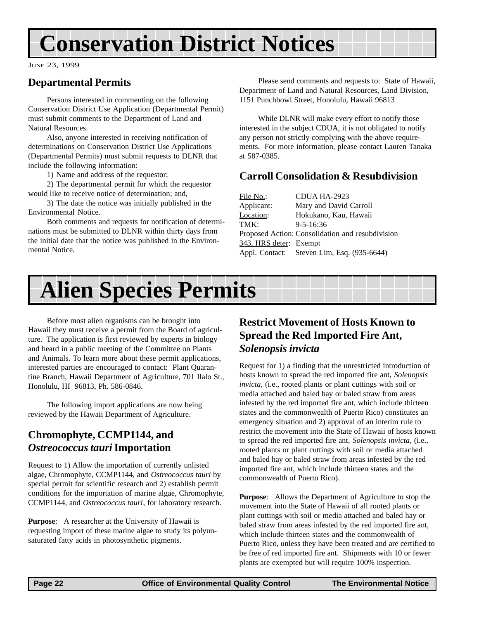# <span id="page-21-0"></span>**Conservation District Notices**

JUNE 23, 1999

#### **Departmental Permits**

Persons interested in commenting on the following Conservation District Use Application (Departmental Permit) must submit comments to the Department of Land and Natural Resources.

Also, anyone interested in receiving notification of determinations on Conservation District Use Applications (Departmental Permits) must submit requests to DLNR that include the following information:

1) Name and address of the requestor;

2) The departmental permit for which the requestor would like to receive notice of determination; and,

3) The date the notice was initially published in the Environmental Notice.

Both comments and requests for notification of determinations must be submitted to DLNR within thirty days from the initial date that the notice was published in the Environmental Notice.

Please send comments and requests to: State of Hawaii, Department of Land and Natural Resources, Land Division, 1151 Punchbowl Street, Honolulu, Hawaii 96813

While DLNR will make every effort to notify those interested in the subject CDUA, it is not obligated to notify any person not strictly complying with the above requirements. For more information, please contact Lauren Tanaka at 587-0385.

#### **Carroll Consolidation & Resubdivision**

| File No.:              | CDUA HA-2923                                     |
|------------------------|--------------------------------------------------|
| Applicant:             | Mary and David Carroll                           |
| Location:              | Hokukano, Kau, Hawaii                            |
| TMK:                   | $9 - 5 - 16:36$                                  |
|                        | Proposed Action: Consolidation and resubdivision |
| 343, HRS deter: Exempt |                                                  |
|                        | Appl. Contact: Steven Lim, Esq. (935-6644)       |

# **Alien Species Permits**

Before most alien organisms can be brought into Hawaii they must receive a permit from the Board of agriculture. The application is first reviewed by experts in biology and heard in a public meeting of the Committee on Plants and Animals. To learn more about these permit applications, interested parties are encouraged to contact: Plant Quarantine Branch, Hawaii Department of Agriculture, 701 Ilalo St., Honolulu, HI 96813, Ph. 586-0846.

The following import applications are now being reviewed by the Hawaii Department of Agriculture.

#### **Chromophyte, CCMP1144, and** *Ostreococcus tauri* **Importation**

Request to 1) Allow the importation of currently unlisted algae, Chromophyte, CCMP1144, and *Ostreococcus tauri* by special permit for scientific research and 2) establish permit conditions for the importation of marine algae, Chromophyte, CCMP1144, and *Ostreococcus tauri*, for laboratory research.

**Purpose**: A researcher at the University of Hawaii is requesting import of these marine algae to study its polyunsaturated fatty acids in photosynthetic pigments.

#### **Restrict Movement of Hosts Known to Spread the Red Imported Fire Ant,** *Solenopsis invicta*

Request for 1) a finding that the unrestricted introduction of hosts known to spread the red imported fire ant, *Solenopsis invicta*, (i.e., rooted plants or plant cuttings with soil or media attached and baled hay or baled straw from areas infested by the red imported fire ant, which include thirteen states and the commonwealth of Puerto Rico) constitutes an emergency situation and 2) approval of an interim rule to restrict the movement into the State of Hawaii of hosts known to spread the red imported fire ant, *Solenopsis invicta*, (i.e., rooted plants or plant cuttings with soil or media attached and baled hay or baled straw from areas infested by the red imported fire ant, which include thirteen states and the commonwealth of Puerto Rico).

**Purpose**: Allows the Department of Agriculture to stop the movement into the State of Hawaii of all rooted plants or plant cuttings with soil or media attached and baled hay or baled straw from areas infested by the red imported fire ant, which include thirteen states and the commonwealth of Puerto Rico, unless they have been treated and are certified to be free of red imported fire ant. Shipments with 10 or fewer plants are exempted but will require 100% inspection.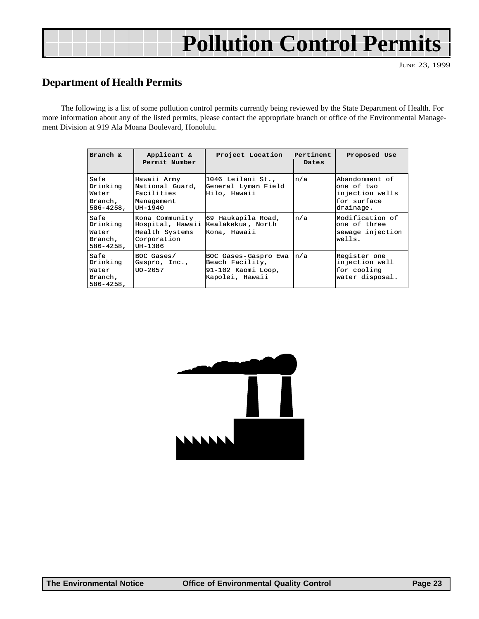# **Pollution Control Permits**

JUNE 23, 1999

#### **Department of Health Permits**

The following is a list of some pollution control permits currently being reviewed by the State Department of Health. For more information about any of the listed permits, please contact the appropriate branch or office of the Environmental Management Division at 919 Ala Moana Boulevard, Honolulu.

| Branch &                                               | Applicant &<br>Permit Number                                                   | Project Location                                                                 | Pertinent<br>Dates | Proposed Use                                                                |
|--------------------------------------------------------|--------------------------------------------------------------------------------|----------------------------------------------------------------------------------|--------------------|-----------------------------------------------------------------------------|
| Safe<br>Drinking<br>Water<br>Branch,<br>$586 - 4258$ , | Hawaii Army<br>National Guard,<br>Facilities<br>Management<br>UH-1940          | 1046 Leilani St.,<br>General Lyman Field<br>Hilo, Hawaii                         | n/a                | Abandonment of<br>one of two<br>injection wells<br>for surface<br>drainage. |
| Safe<br>Drinking<br>Water<br>Branch,<br>$586 - 4258$ , | Kona Community<br>Hospital, Hawaii<br>Health Systems<br>Corporation<br>UH-1386 | 69 Haukapila Road,<br>Kealakekua, North<br>Kona, Hawaii                          | n/a                | lModification of<br>one of three<br>sewage injection<br>wells.              |
| Safe<br>Drinking<br>Water<br>Branch,<br>$586 - 4258$ , | BOC Gases/<br>Gaspro, Inc.,<br>UO-2057                                         | BOC Gases-Gaspro Ewa<br>Beach Facility,<br>91-102 Kaomi Loop,<br>Kapolei, Hawaii | n/a                | Register one<br>injection well<br>for cooling<br>water disposal.            |

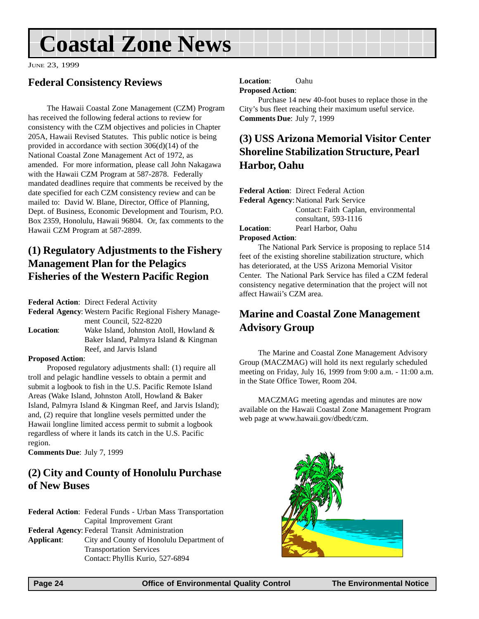# <span id="page-23-0"></span>**Coastal Zone News**

JUNE 23, 1999

#### **Federal Consistency Reviews**

The Hawaii Coastal Zone Management (CZM) Program has received the following federal actions to review for consistency with the CZM objectives and policies in Chapter 205A, Hawaii Revised Statutes. This public notice is being provided in accordance with section 306(d)(14) of the National Coastal Zone Management Act of 1972, as amended. For more information, please call John Nakagawa with the Hawaii CZM Program at 587-2878. Federally mandated deadlines require that comments be received by the date specified for each CZM consistency review and can be mailed to: David W. Blane, Director, Office of Planning, Dept. of Business, Economic Development and Tourism, P.O. Box 2359, Honolulu, Hawaii 96804. Or, fax comments to the Hawaii CZM Program at 587-2899.

#### **(1) Regulatory Adjustments to the Fishery Management Plan for the Pelagics Fisheries of the Western Pacific Region**

**Federal Action**: Direct Federal Activity

**Federal Agency**: Western Pacific Regional Fishery Management Council, 522-8220 **Location**: Wake Island, Johnston Atoll, Howland & Baker Island, Palmyra Island & Kingman Reef, and Jarvis Island

#### **Proposed Action**:

Proposed regulatory adjustments shall: (1) require all troll and pelagic handline vessels to obtain a permit and submit a logbook to fish in the U.S. Pacific Remote Island Areas (Wake Island, Johnston Atoll, Howland & Baker Island, Palmyra Island & Kingman Reef, and Jarvis Island); and, (2) require that longline vesels permitted under the Hawaii longline limited access permit to submit a logbook regardless of where it lands its catch in the U.S. Pacific region.

**Comments Due**: July 7, 1999

#### **(2) City and County of Honolulu Purchase of New Buses**

**Federal Action**: Federal Funds - Urban Mass Transportation Capital Improvement Grant **Federal Agency**: Federal Transit Administration **Applicant**: City and County of Honolulu Department of Transportation Services Contact: Phyllis Kurio, 527-6894

#### **Location**: Oahu **Proposed Action**:

Purchase 14 new 40-foot buses to replace those in the City's bus fleet reaching their maximum useful service. **Comments Due**: July 7, 1999

#### **(3) USS Arizona Memorial Visitor Center Shoreline Stabilization Structure, Pearl Harbor, Oahu**

|                                                                                                                                                                                                                                                                                                 | <b>Federal Action:</b> Direct Federal Action |
|-------------------------------------------------------------------------------------------------------------------------------------------------------------------------------------------------------------------------------------------------------------------------------------------------|----------------------------------------------|
| <b>Federal Agency: National Park Service</b>                                                                                                                                                                                                                                                    |                                              |
|                                                                                                                                                                                                                                                                                                 | Contact: Faith Caplan, environmental         |
|                                                                                                                                                                                                                                                                                                 | consultant, 593-1116                         |
|                                                                                                                                                                                                                                                                                                 | <b>Location:</b> Pearl Harbor, Oahu          |
| <b>Proposed Action:</b>                                                                                                                                                                                                                                                                         |                                              |
| $\mathbf{m}$ at $\mathbf{r}$ and $\mathbf{r}$ and $\mathbf{r}$ and $\mathbf{r}$ and $\mathbf{r}$ and $\mathbf{r}$ and $\mathbf{r}$ and $\mathbf{r}$ and $\mathbf{r}$ and $\mathbf{r}$ and $\mathbf{r}$ and $\mathbf{r}$ and $\mathbf{r}$ and $\mathbf{r}$ and $\mathbf{r}$ and $\mathbf{r}$ and |                                              |

The National Park Service is proposing to replace 514 feet of the existing shoreline stabilization structure, which has deteriorated, at the USS Arizona Memorial Visitor Center. The National Park Service has filed a CZM federal consistency negative determination that the project will not affect Hawaii's CZM area.

#### **Marine and Coastal Zone Management Advisory Group**

The Marine and Coastal Zone Management Advisory Group (MACZMAG) will hold its next regularly scheduled meeting on Friday, July 16, 1999 from 9:00 a.m. - 11:00 a.m. in the State Office Tower, Room 204.

MACZMAG meeting agendas and minutes are now available on the Hawaii Coastal Zone Management Program web page at www.hawaii.gov/dbedt/czm.